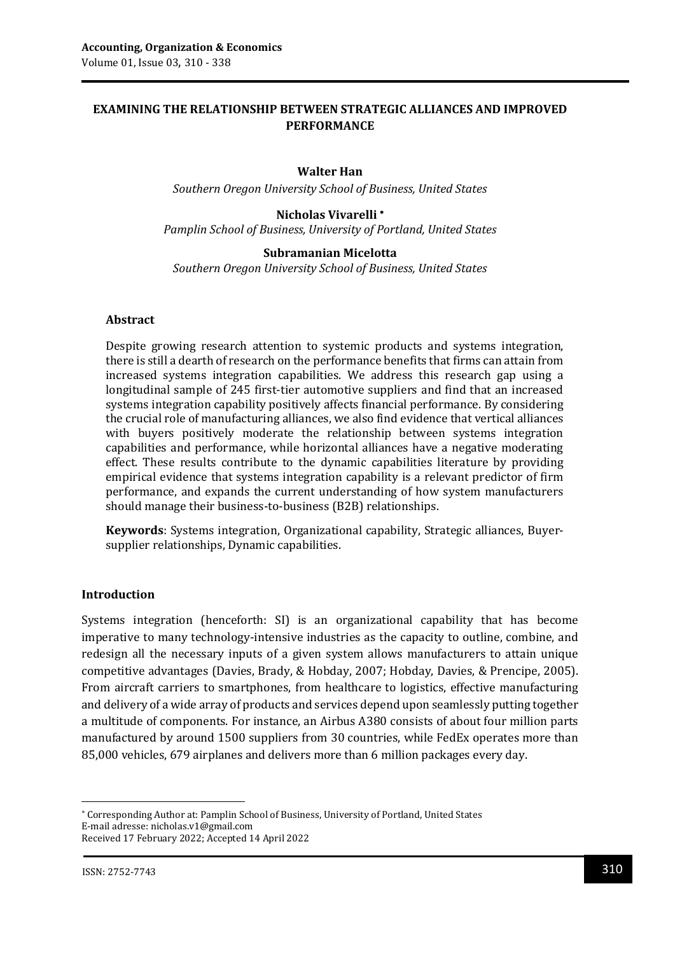## **EXAMINING THE RELATIONSHIP BETWEEN STRATEGIC ALLIANCES AND IMPROVED PERFORMANCE**

#### **Walter Han**

*Southern Oregon University School of Business, United States*

#### **Nicholas Vivarelli**

*Pamplin School of Business, University of Portland, United States*

#### **Subramanian Micelotta**

*Southern Oregon University School of Business, United States*

#### **Abstract**

Despite growing research attention to systemic products and systems integration, there is still a dearth of research on the performance benefits that firms can attain from increased systems integration capabilities. We address this research gap using a longitudinal sample of 245 first-tier automotive suppliers and find that an increased systems integration capability positively affects financial performance. By considering the crucial role of manufacturing alliances, we also find evidence that vertical alliances with buyers positively moderate the relationship between systems integration capabilities and performance, while horizontal alliances have a negative moderating effect. These results contribute to the dynamic capabilities literature by providing empirical evidence that systems integration capability is a relevant predictor of firm performance, and expands the current understanding of how system manufacturers should manage their business-to-business (B2B) relationships.

**Keywords**: Systems integration, Organizational capability, Strategic alliances, Buyersupplier relationships, Dynamic capabilities.

#### **Introduction**

Systems integration (henceforth: SI) is an organizational capability that has become imperative to many technology-intensive industries as the capacity to outline, combine, and redesign all the necessary inputs of a given system allows manufacturers to attain unique competitive advantages (Davies, Brady, & Hobday, 2007; Hobday, Davies, & Prencipe, 2005). From aircraft carriers to smartphones, from healthcare to logistics, effective manufacturing and delivery of a wide array of products and services depend upon seamlessly putting together a multitude of components. For instance, an Airbus A380 consists of about four million parts manufactured by around 1500 suppliers from 30 countries, while FedEx operates more than 85,000 vehicles, 679 airplanes and delivers more than 6 million packages every day.

1

Corresponding Author at: Pamplin School of Business, University of Portland, United States E-mail adresse: nicholas.v1@gmail.com Received 17 February 2022; Accepted 14 April 2022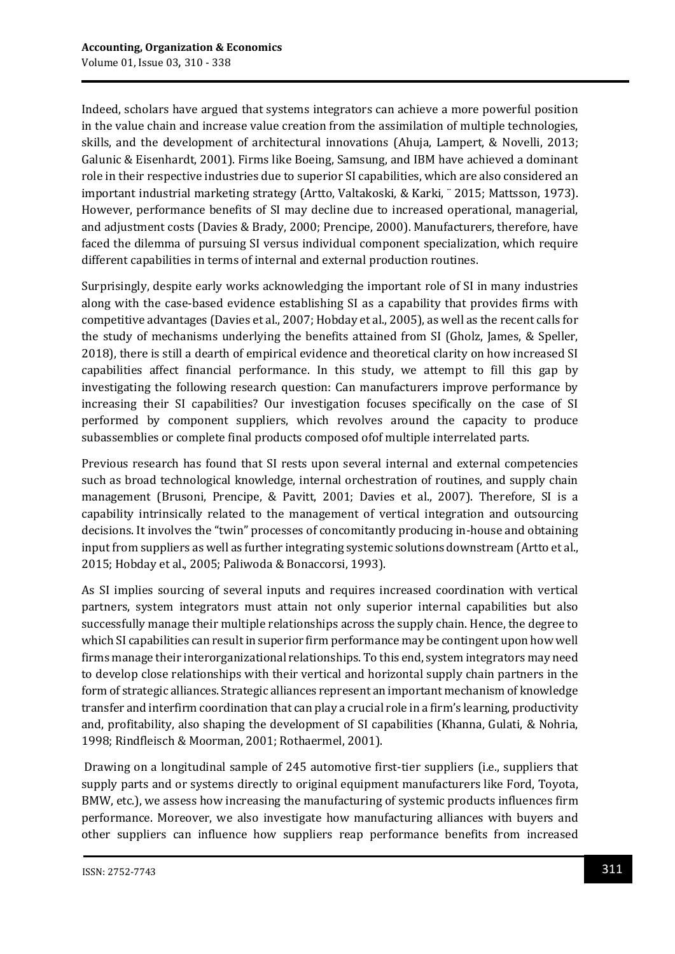Indeed, scholars have argued that systems integrators can achieve a more powerful position in the value chain and increase value creation from the assimilation of multiple technologies, skills, and the development of architectural innovations (Ahuja, Lampert, & Novelli, 2013; Galunic & Eisenhardt, 2001). Firms like Boeing, Samsung, and IBM have achieved a dominant role in their respective industries due to superior SI capabilities, which are also considered an important industrial marketing strategy (Artto, Valtakoski, & Karki, ¨ 2015; Mattsson, 1973). However, performance benefits of SI may decline due to increased operational, managerial, and adjustment costs (Davies & Brady, 2000; Prencipe, 2000). Manufacturers, therefore, have faced the dilemma of pursuing SI versus individual component specialization, which require different capabilities in terms of internal and external production routines.

Surprisingly, despite early works acknowledging the important role of SI in many industries along with the case-based evidence establishing SI as a capability that provides firms with competitive advantages (Davies et al., 2007; Hobday et al., 2005), as well as the recent calls for the study of mechanisms underlying the benefits attained from SI (Gholz, James, & Speller, 2018), there is still a dearth of empirical evidence and theoretical clarity on how increased SI capabilities affect financial performance. In this study, we attempt to fill this gap by investigating the following research question: Can manufacturers improve performance by increasing their SI capabilities? Our investigation focuses specifically on the case of SI performed by component suppliers, which revolves around the capacity to produce subassemblies or complete final products composed ofof multiple interrelated parts.

Previous research has found that SI rests upon several internal and external competencies such as broad technological knowledge, internal orchestration of routines, and supply chain management (Brusoni, Prencipe, & Pavitt, 2001; Davies et al., 2007). Therefore, SI is a capability intrinsically related to the management of vertical integration and outsourcing decisions. It involves the "twin" processes of concomitantly producing in-house and obtaining input from suppliers as well as further integrating systemic solutions downstream (Artto et al., 2015; Hobday et al., 2005; Paliwoda & Bonaccorsi, 1993).

As SI implies sourcing of several inputs and requires increased coordination with vertical partners, system integrators must attain not only superior internal capabilities but also successfully manage their multiple relationships across the supply chain. Hence, the degree to which SI capabilities can result in superior firm performance may be contingent upon how well firms manage their interorganizational relationships. To this end, system integrators may need to develop close relationships with their vertical and horizontal supply chain partners in the form of strategic alliances. Strategic alliances represent an important mechanism of knowledge transfer and interfirm coordination that can play a crucial role in a firm's learning, productivity and, profitability, also shaping the development of SI capabilities (Khanna, Gulati, & Nohria, 1998; Rindfleisch & Moorman, 2001; Rothaermel, 2001).

Drawing on a longitudinal sample of 245 automotive first-tier suppliers (i.e., suppliers that supply parts and or systems directly to original equipment manufacturers like Ford, Toyota, BMW, etc.), we assess how increasing the manufacturing of systemic products influences firm performance. Moreover, we also investigate how manufacturing alliances with buyers and other suppliers can influence how suppliers reap performance benefits from increased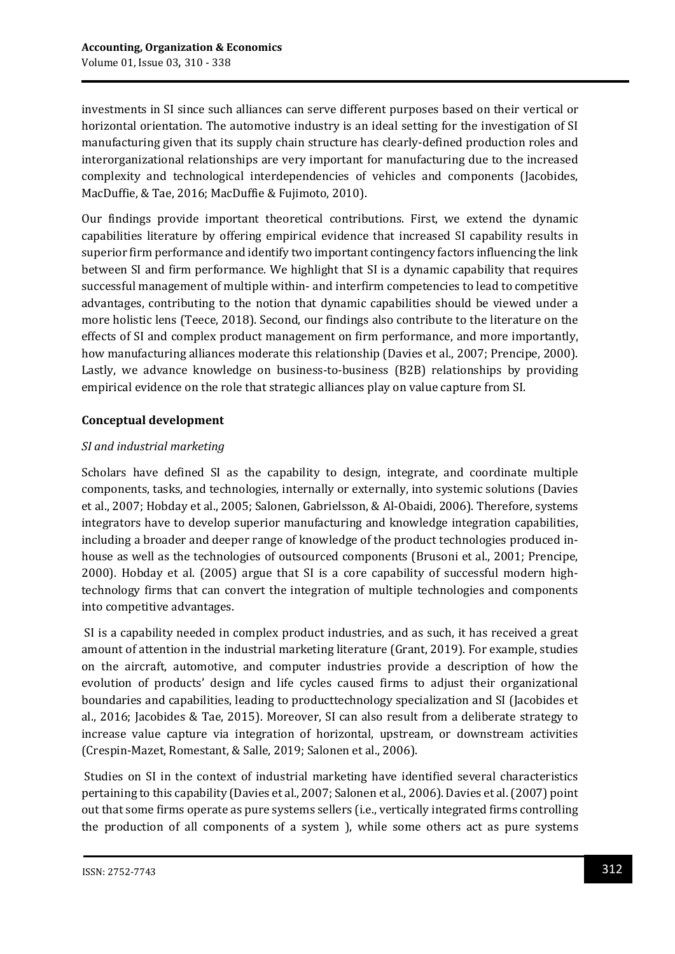investments in SI since such alliances can serve different purposes based on their vertical or horizontal orientation. The automotive industry is an ideal setting for the investigation of SI manufacturing given that its supply chain structure has clearly-defined production roles and interorganizational relationships are very important for manufacturing due to the increased complexity and technological interdependencies of vehicles and components (Jacobides, MacDuffie, & Tae, 2016; MacDuffie & Fujimoto, 2010).

Our findings provide important theoretical contributions. First, we extend the dynamic capabilities literature by offering empirical evidence that increased SI capability results in superior firm performance and identify two important contingency factors influencing the link between SI and firm performance. We highlight that SI is a dynamic capability that requires successful management of multiple within- and interfirm competencies to lead to competitive advantages, contributing to the notion that dynamic capabilities should be viewed under a more holistic lens (Teece, 2018). Second, our findings also contribute to the literature on the effects of SI and complex product management on firm performance, and more importantly, how manufacturing alliances moderate this relationship (Davies et al., 2007; Prencipe, 2000). Lastly, we advance knowledge on business-to-business (B2B) relationships by providing empirical evidence on the role that strategic alliances play on value capture from SI.

## **Conceptual development**

## *SI and industrial marketing*

Scholars have defined SI as the capability to design, integrate, and coordinate multiple components, tasks, and technologies, internally or externally, into systemic solutions (Davies et al., 2007; Hobday et al., 2005; Salonen, Gabrielsson, & Al-Obaidi, 2006). Therefore, systems integrators have to develop superior manufacturing and knowledge integration capabilities, including a broader and deeper range of knowledge of the product technologies produced inhouse as well as the technologies of outsourced components (Brusoni et al., 2001; Prencipe, 2000). Hobday et al. (2005) argue that SI is a core capability of successful modern hightechnology firms that can convert the integration of multiple technologies and components into competitive advantages.

SI is a capability needed in complex product industries, and as such, it has received a great amount of attention in the industrial marketing literature (Grant, 2019). For example, studies on the aircraft, automotive, and computer industries provide a description of how the evolution of products' design and life cycles caused firms to adjust their organizational boundaries and capabilities, leading to producttechnology specialization and SI (Jacobides et al., 2016; Jacobides & Tae, 2015). Moreover, SI can also result from a deliberate strategy to increase value capture via integration of horizontal, upstream, or downstream activities (Crespin-Mazet, Romestant, & Salle, 2019; Salonen et al., 2006).

Studies on SI in the context of industrial marketing have identified several characteristics pertaining to this capability (Davies et al., 2007; Salonen et al., 2006). Davies et al. (2007) point out that some firms operate as pure systems sellers (i.e., vertically integrated firms controlling the production of all components of a system ), while some others act as pure systems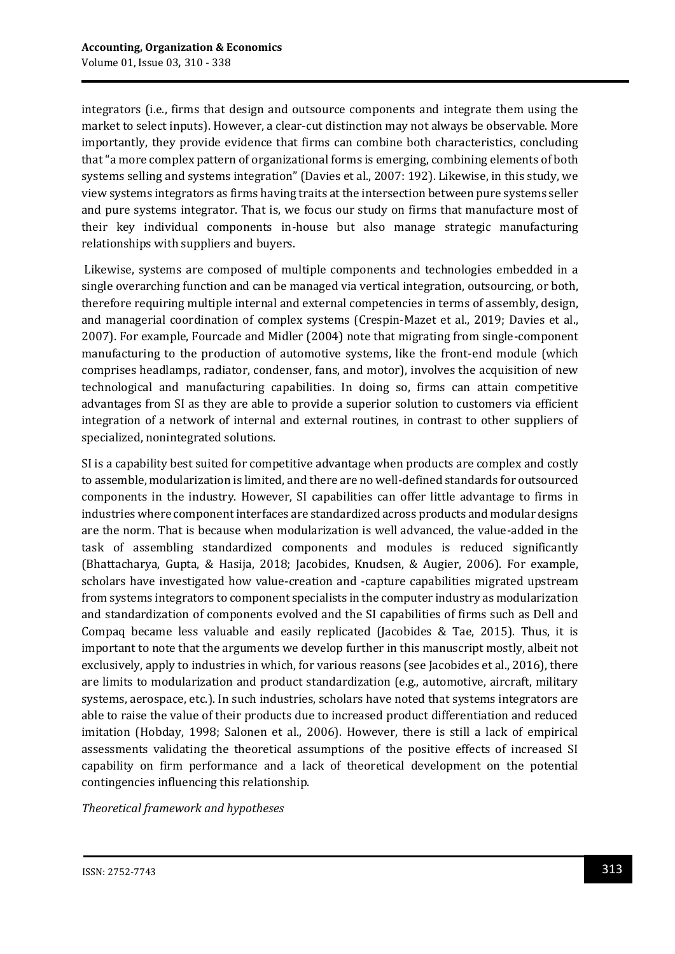integrators (i.e., firms that design and outsource components and integrate them using the market to select inputs). However, a clear-cut distinction may not always be observable. More importantly, they provide evidence that firms can combine both characteristics, concluding that "a more complex pattern of organizational forms is emerging, combining elements of both systems selling and systems integration" (Davies et al., 2007: 192). Likewise, in this study, we view systems integrators as firms having traits at the intersection between pure systems seller and pure systems integrator. That is, we focus our study on firms that manufacture most of their key individual components in-house but also manage strategic manufacturing relationships with suppliers and buyers.

Likewise, systems are composed of multiple components and technologies embedded in a single overarching function and can be managed via vertical integration, outsourcing, or both, therefore requiring multiple internal and external competencies in terms of assembly, design, and managerial coordination of complex systems (Crespin-Mazet et al., 2019; Davies et al., 2007). For example, Fourcade and Midler (2004) note that migrating from single-component manufacturing to the production of automotive systems, like the front-end module (which comprises headlamps, radiator, condenser, fans, and motor), involves the acquisition of new technological and manufacturing capabilities. In doing so, firms can attain competitive advantages from SI as they are able to provide a superior solution to customers via efficient integration of a network of internal and external routines, in contrast to other suppliers of specialized, nonintegrated solutions.

SI is a capability best suited for competitive advantage when products are complex and costly to assemble, modularization is limited, and there are no well-defined standards for outsourced components in the industry. However, SI capabilities can offer little advantage to firms in industries where component interfaces are standardized across products and modular designs are the norm. That is because when modularization is well advanced, the value-added in the task of assembling standardized components and modules is reduced significantly (Bhattacharya, Gupta, & Hasija, 2018; Jacobides, Knudsen, & Augier, 2006). For example, scholars have investigated how value-creation and -capture capabilities migrated upstream from systems integrators to component specialists in the computer industry as modularization and standardization of components evolved and the SI capabilities of firms such as Dell and Compaq became less valuable and easily replicated (Jacobides & Tae, 2015). Thus, it is important to note that the arguments we develop further in this manuscript mostly, albeit not exclusively, apply to industries in which, for various reasons (see Jacobides et al., 2016), there are limits to modularization and product standardization (e.g., automotive, aircraft, military systems, aerospace, etc.). In such industries, scholars have noted that systems integrators are able to raise the value of their products due to increased product differentiation and reduced imitation (Hobday, 1998; Salonen et al., 2006). However, there is still a lack of empirical assessments validating the theoretical assumptions of the positive effects of increased SI capability on firm performance and a lack of theoretical development on the potential contingencies influencing this relationship.

*Theoretical framework and hypotheses*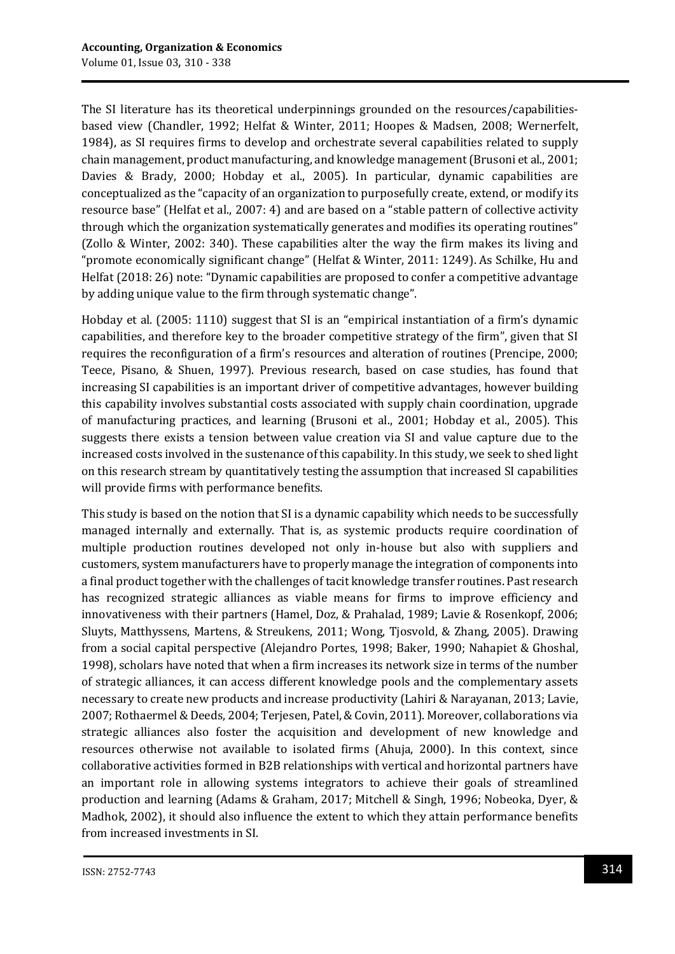The SI literature has its theoretical underpinnings grounded on the resources/capabilitiesbased view (Chandler, 1992; Helfat & Winter, 2011; Hoopes & Madsen, 2008; Wernerfelt, 1984), as SI requires firms to develop and orchestrate several capabilities related to supply chain management, product manufacturing, and knowledge management (Brusoni et al., 2001; Davies & Brady, 2000; Hobday et al., 2005). In particular, dynamic capabilities are conceptualized as the "capacity of an organization to purposefully create, extend, or modify its resource base" (Helfat et al., 2007: 4) and are based on a "stable pattern of collective activity through which the organization systematically generates and modifies its operating routines" (Zollo & Winter, 2002: 340). These capabilities alter the way the firm makes its living and "promote economically significant change" (Helfat & Winter, 2011: 1249). As Schilke, Hu and Helfat (2018: 26) note: "Dynamic capabilities are proposed to confer a competitive advantage by adding unique value to the firm through systematic change".

Hobday et al. (2005: 1110) suggest that SI is an "empirical instantiation of a firm's dynamic capabilities, and therefore key to the broader competitive strategy of the firm", given that SI requires the reconfiguration of a firm's resources and alteration of routines (Prencipe, 2000; Teece, Pisano, & Shuen, 1997). Previous research, based on case studies, has found that increasing SI capabilities is an important driver of competitive advantages, however building this capability involves substantial costs associated with supply chain coordination, upgrade of manufacturing practices, and learning (Brusoni et al., 2001; Hobday et al., 2005). This suggests there exists a tension between value creation via SI and value capture due to the increased costs involved in the sustenance of this capability. In this study, we seek to shed light on this research stream by quantitatively testing the assumption that increased SI capabilities will provide firms with performance benefits.

This study is based on the notion that SI is a dynamic capability which needs to be successfully managed internally and externally. That is, as systemic products require coordination of multiple production routines developed not only in-house but also with suppliers and customers, system manufacturers have to properly manage the integration of components into a final product together with the challenges of tacit knowledge transfer routines. Past research has recognized strategic alliances as viable means for firms to improve efficiency and innovativeness with their partners (Hamel, Doz, & Prahalad, 1989; Lavie & Rosenkopf, 2006; Sluyts, Matthyssens, Martens, & Streukens, 2011; Wong, Tjosvold, & Zhang, 2005). Drawing from a social capital perspective (Alejandro Portes, 1998; Baker, 1990; Nahapiet & Ghoshal, 1998), scholars have noted that when a firm increases its network size in terms of the number of strategic alliances, it can access different knowledge pools and the complementary assets necessary to create new products and increase productivity (Lahiri & Narayanan, 2013; Lavie, 2007; Rothaermel & Deeds, 2004; Terjesen, Patel, & Covin, 2011). Moreover, collaborations via strategic alliances also foster the acquisition and development of new knowledge and resources otherwise not available to isolated firms (Ahuja, 2000). In this context, since collaborative activities formed in B2B relationships with vertical and horizontal partners have an important role in allowing systems integrators to achieve their goals of streamlined production and learning (Adams & Graham, 2017; Mitchell & Singh, 1996; Nobeoka, Dyer, & Madhok, 2002), it should also influence the extent to which they attain performance benefits from increased investments in SI.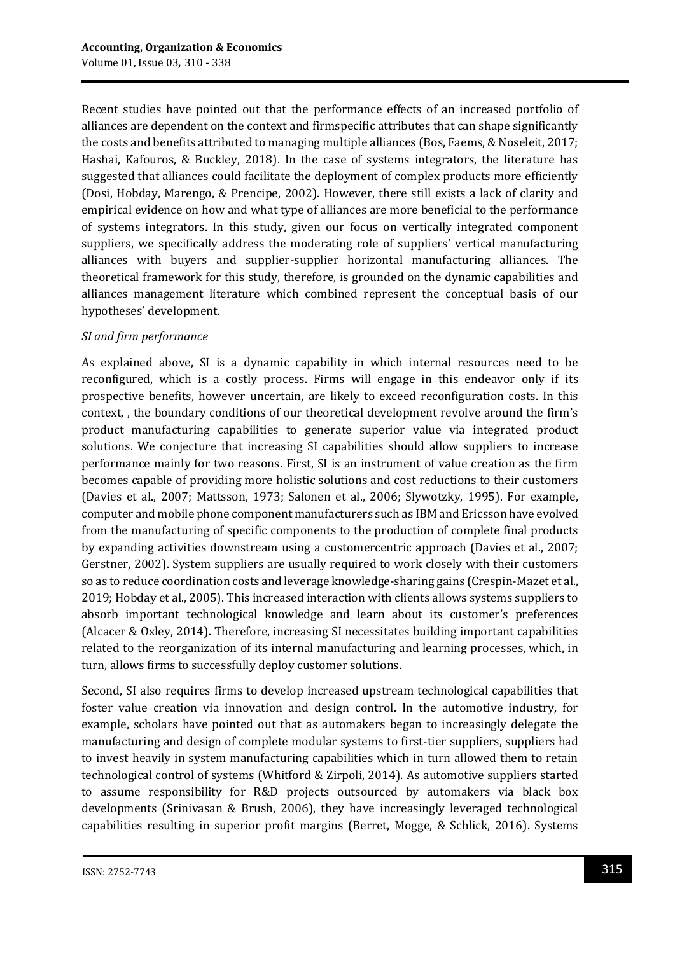Recent studies have pointed out that the performance effects of an increased portfolio of alliances are dependent on the context and firmspecific attributes that can shape significantly the costs and benefits attributed to managing multiple alliances (Bos, Faems, & Noseleit, 2017; Hashai, Kafouros, & Buckley, 2018). In the case of systems integrators, the literature has suggested that alliances could facilitate the deployment of complex products more efficiently (Dosi, Hobday, Marengo, & Prencipe, 2002). However, there still exists a lack of clarity and empirical evidence on how and what type of alliances are more beneficial to the performance of systems integrators. In this study, given our focus on vertically integrated component suppliers, we specifically address the moderating role of suppliers' vertical manufacturing alliances with buyers and supplier-supplier horizontal manufacturing alliances. The theoretical framework for this study, therefore, is grounded on the dynamic capabilities and alliances management literature which combined represent the conceptual basis of our hypotheses' development.

#### *SI and firm performance*

As explained above, SI is a dynamic capability in which internal resources need to be reconfigured, which is a costly process. Firms will engage in this endeavor only if its prospective benefits, however uncertain, are likely to exceed reconfiguration costs. In this context, , the boundary conditions of our theoretical development revolve around the firm's product manufacturing capabilities to generate superior value via integrated product solutions. We conjecture that increasing SI capabilities should allow suppliers to increase performance mainly for two reasons. First, SI is an instrument of value creation as the firm becomes capable of providing more holistic solutions and cost reductions to their customers (Davies et al., 2007; Mattsson, 1973; Salonen et al., 2006; Slywotzky, 1995). For example, computer and mobile phone component manufacturers such as IBM and Ericsson have evolved from the manufacturing of specific components to the production of complete final products by expanding activities downstream using a customercentric approach (Davies et al., 2007; Gerstner, 2002). System suppliers are usually required to work closely with their customers so as to reduce coordination costs and leverage knowledge-sharing gains (Crespin-Mazet et al., 2019; Hobday et al., 2005). This increased interaction with clients allows systems suppliers to absorb important technological knowledge and learn about its customer's preferences (Alcacer & Oxley, 2014). Therefore, increasing SI necessitates building important capabilities related to the reorganization of its internal manufacturing and learning processes, which, in turn, allows firms to successfully deploy customer solutions.

Second, SI also requires firms to develop increased upstream technological capabilities that foster value creation via innovation and design control. In the automotive industry, for example, scholars have pointed out that as automakers began to increasingly delegate the manufacturing and design of complete modular systems to first-tier suppliers, suppliers had to invest heavily in system manufacturing capabilities which in turn allowed them to retain technological control of systems (Whitford & Zirpoli, 2014). As automotive suppliers started to assume responsibility for R&D projects outsourced by automakers via black box developments (Srinivasan & Brush, 2006), they have increasingly leveraged technological capabilities resulting in superior profit margins (Berret, Mogge, & Schlick, 2016). Systems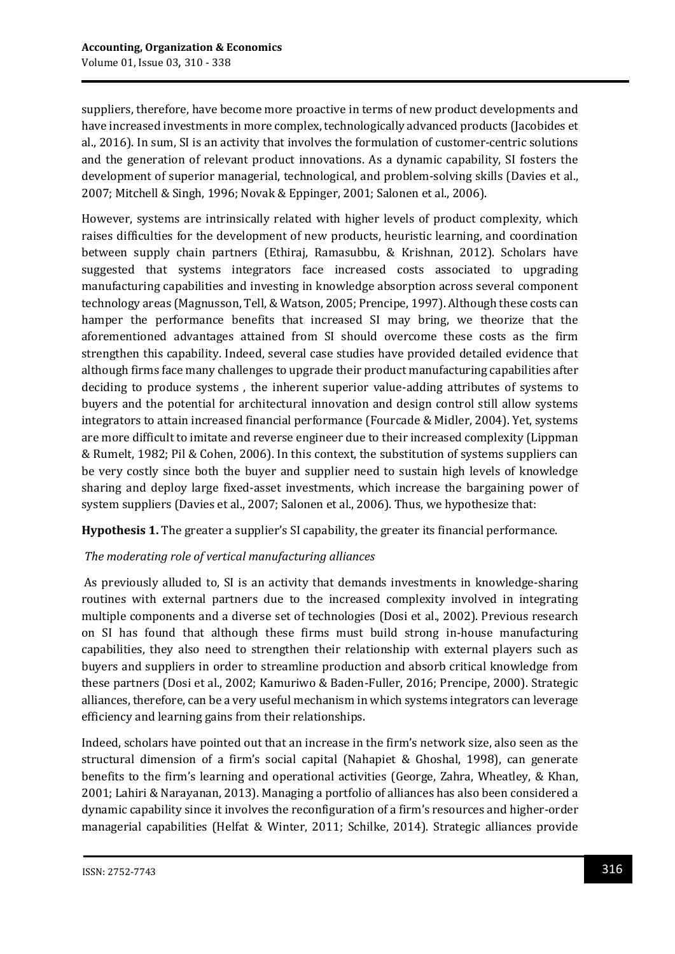suppliers, therefore, have become more proactive in terms of new product developments and have increased investments in more complex, technologically advanced products (Jacobides et al., 2016). In sum, SI is an activity that involves the formulation of customer-centric solutions and the generation of relevant product innovations. As a dynamic capability, SI fosters the development of superior managerial, technological, and problem-solving skills (Davies et al., 2007; Mitchell & Singh, 1996; Novak & Eppinger, 2001; Salonen et al., 2006).

However, systems are intrinsically related with higher levels of product complexity, which raises difficulties for the development of new products, heuristic learning, and coordination between supply chain partners (Ethiraj, Ramasubbu, & Krishnan, 2012). Scholars have suggested that systems integrators face increased costs associated to upgrading manufacturing capabilities and investing in knowledge absorption across several component technology areas (Magnusson, Tell, & Watson, 2005; Prencipe, 1997). Although these costs can hamper the performance benefits that increased SI may bring, we theorize that the aforementioned advantages attained from SI should overcome these costs as the firm strengthen this capability. Indeed, several case studies have provided detailed evidence that although firms face many challenges to upgrade their product manufacturing capabilities after deciding to produce systems , the inherent superior value-adding attributes of systems to buyers and the potential for architectural innovation and design control still allow systems integrators to attain increased financial performance (Fourcade & Midler, 2004). Yet, systems are more difficult to imitate and reverse engineer due to their increased complexity (Lippman & Rumelt, 1982; Pil & Cohen, 2006). In this context, the substitution of systems suppliers can be very costly since both the buyer and supplier need to sustain high levels of knowledge sharing and deploy large fixed-asset investments, which increase the bargaining power of system suppliers (Davies et al., 2007; Salonen et al., 2006). Thus, we hypothesize that:

**Hypothesis 1.** The greater a supplier's SI capability, the greater its financial performance.

## *The moderating role of vertical manufacturing alliances*

As previously alluded to, SI is an activity that demands investments in knowledge-sharing routines with external partners due to the increased complexity involved in integrating multiple components and a diverse set of technologies (Dosi et al., 2002). Previous research on SI has found that although these firms must build strong in-house manufacturing capabilities, they also need to strengthen their relationship with external players such as buyers and suppliers in order to streamline production and absorb critical knowledge from these partners (Dosi et al., 2002; Kamuriwo & Baden-Fuller, 2016; Prencipe, 2000). Strategic alliances, therefore, can be a very useful mechanism in which systems integrators can leverage efficiency and learning gains from their relationships.

Indeed, scholars have pointed out that an increase in the firm's network size, also seen as the structural dimension of a firm's social capital (Nahapiet & Ghoshal, 1998), can generate benefits to the firm's learning and operational activities (George, Zahra, Wheatley, & Khan, 2001; Lahiri & Narayanan, 2013). Managing a portfolio of alliances has also been considered a dynamic capability since it involves the reconfiguration of a firm's resources and higher-order managerial capabilities (Helfat & Winter, 2011; Schilke, 2014). Strategic alliances provide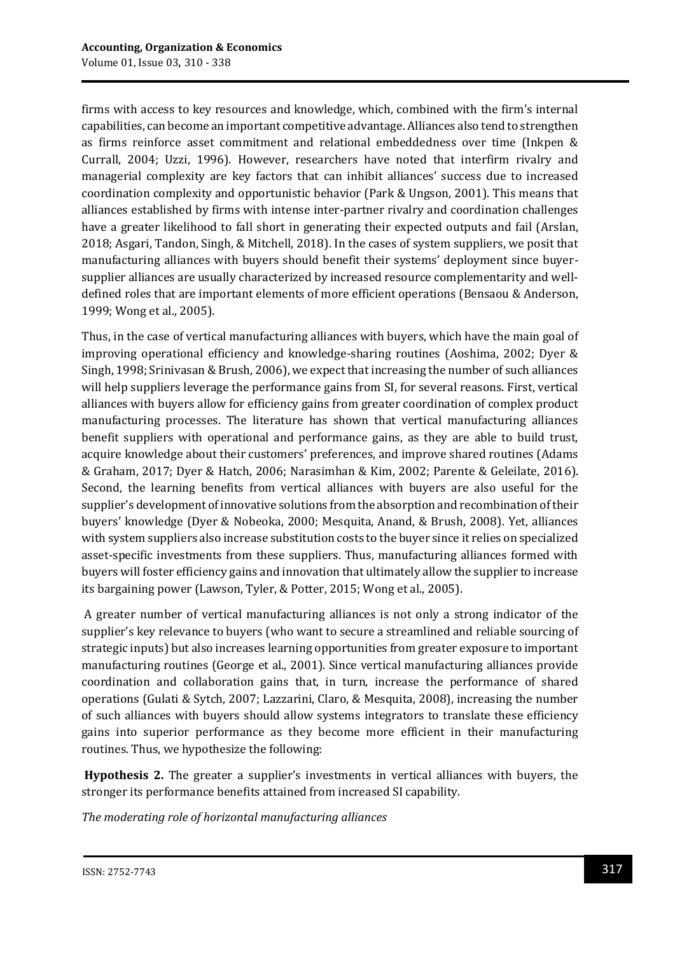firms with access to key resources and knowledge, which, combined with the firm's internal capabilities, can become an important competitive advantage. Alliances also tend to strengthen as firms reinforce asset commitment and relational embeddedness over time (Inkpen & Currall, 2004; Uzzi, 1996). However, researchers have noted that interfirm rivalry and managerial complexity are key factors that can inhibit alliances' success due to increased coordination complexity and opportunistic behavior (Park & Ungson, 2001). This means that alliances established by firms with intense inter-partner rivalry and coordination challenges have a greater likelihood to fall short in generating their expected outputs and fail (Arslan, 2018; Asgari, Tandon, Singh, & Mitchell, 2018). In the cases of system suppliers, we posit that manufacturing alliances with buyers should benefit their systems' deployment since buyersupplier alliances are usually characterized by increased resource complementarity and welldefined roles that are important elements of more efficient operations (Bensaou & Anderson, 1999; Wong et al., 2005).

Thus, in the case of vertical manufacturing alliances with buyers, which have the main goal of improving operational efficiency and knowledge-sharing routines (Aoshima, 2002; Dyer & Singh, 1998; Srinivasan & Brush, 2006), we expect that increasing the number of such alliances will help suppliers leverage the performance gains from SI, for several reasons. First, vertical alliances with buyers allow for efficiency gains from greater coordination of complex product manufacturing processes. The literature has shown that vertical manufacturing alliances benefit suppliers with operational and performance gains, as they are able to build trust, acquire knowledge about their customers' preferences, and improve shared routines (Adams & Graham, 2017; Dyer & Hatch, 2006; Narasimhan & Kim, 2002; Parente & Geleilate, 2016). Second, the learning benefits from vertical alliances with buyers are also useful for the supplier's development of innovative solutions from the absorption and recombination of their buyers' knowledge (Dyer & Nobeoka, 2000; Mesquita, Anand, & Brush, 2008). Yet, alliances with system suppliers also increase substitution costs to the buyer since it relies on specialized asset-specific investments from these suppliers. Thus, manufacturing alliances formed with buyers will foster efficiency gains and innovation that ultimately allow the supplier to increase its bargaining power (Lawson, Tyler, & Potter, 2015; Wong et al., 2005).

A greater number of vertical manufacturing alliances is not only a strong indicator of the supplier's key relevance to buyers (who want to secure a streamlined and reliable sourcing of strategic inputs) but also increases learning opportunities from greater exposure to important manufacturing routines (George et al., 2001). Since vertical manufacturing alliances provide coordination and collaboration gains that, in turn, increase the performance of shared operations (Gulati & Sytch, 2007; Lazzarini, Claro, & Mesquita, 2008), increasing the number of such alliances with buyers should allow systems integrators to translate these efficiency gains into superior performance as they become more efficient in their manufacturing routines. Thus, we hypothesize the following:

**Hypothesis 2.** The greater a supplier's investments in vertical alliances with buyers, the stronger its performance benefits attained from increased SI capability.

*The moderating role of horizontal manufacturing alliances*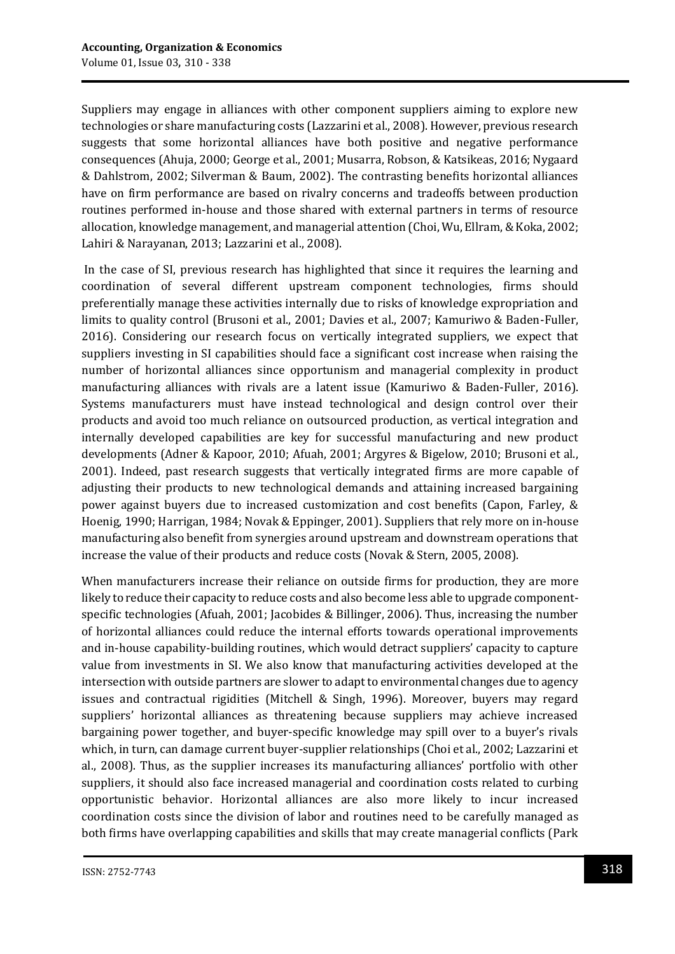Suppliers may engage in alliances with other component suppliers aiming to explore new technologies or share manufacturing costs (Lazzarini et al., 2008). However, previous research suggests that some horizontal alliances have both positive and negative performance consequences (Ahuja, 2000; George et al., 2001; Musarra, Robson, & Katsikeas, 2016; Nygaard & Dahlstrom, 2002; Silverman & Baum, 2002). The contrasting benefits horizontal alliances have on firm performance are based on rivalry concerns and tradeoffs between production routines performed in-house and those shared with external partners in terms of resource allocation, knowledge management, and managerial attention (Choi, Wu, Ellram, & Koka, 2002; Lahiri & Narayanan, 2013; Lazzarini et al., 2008).

In the case of SI, previous research has highlighted that since it requires the learning and coordination of several different upstream component technologies, firms should preferentially manage these activities internally due to risks of knowledge expropriation and limits to quality control (Brusoni et al., 2001; Davies et al., 2007; Kamuriwo & Baden-Fuller, 2016). Considering our research focus on vertically integrated suppliers, we expect that suppliers investing in SI capabilities should face a significant cost increase when raising the number of horizontal alliances since opportunism and managerial complexity in product manufacturing alliances with rivals are a latent issue (Kamuriwo & Baden-Fuller, 2016). Systems manufacturers must have instead technological and design control over their products and avoid too much reliance on outsourced production, as vertical integration and internally developed capabilities are key for successful manufacturing and new product developments (Adner & Kapoor, 2010; Afuah, 2001; Argyres & Bigelow, 2010; Brusoni et al., 2001). Indeed, past research suggests that vertically integrated firms are more capable of adjusting their products to new technological demands and attaining increased bargaining power against buyers due to increased customization and cost benefits (Capon, Farley, & Hoenig, 1990; Harrigan, 1984; Novak & Eppinger, 2001). Suppliers that rely more on in-house manufacturing also benefit from synergies around upstream and downstream operations that increase the value of their products and reduce costs (Novak & Stern, 2005, 2008).

When manufacturers increase their reliance on outside firms for production, they are more likely to reduce their capacity to reduce costs and also become less able to upgrade componentspecific technologies (Afuah, 2001; Jacobides & Billinger, 2006). Thus, increasing the number of horizontal alliances could reduce the internal efforts towards operational improvements and in-house capability-building routines, which would detract suppliers' capacity to capture value from investments in SI. We also know that manufacturing activities developed at the intersection with outside partners are slower to adapt to environmental changes due to agency issues and contractual rigidities (Mitchell & Singh, 1996). Moreover, buyers may regard suppliers' horizontal alliances as threatening because suppliers may achieve increased bargaining power together, and buyer-specific knowledge may spill over to a buyer's rivals which, in turn, can damage current buyer-supplier relationships (Choi et al., 2002; Lazzarini et al., 2008). Thus, as the supplier increases its manufacturing alliances' portfolio with other suppliers, it should also face increased managerial and coordination costs related to curbing opportunistic behavior. Horizontal alliances are also more likely to incur increased coordination costs since the division of labor and routines need to be carefully managed as both firms have overlapping capabilities and skills that may create managerial conflicts (Park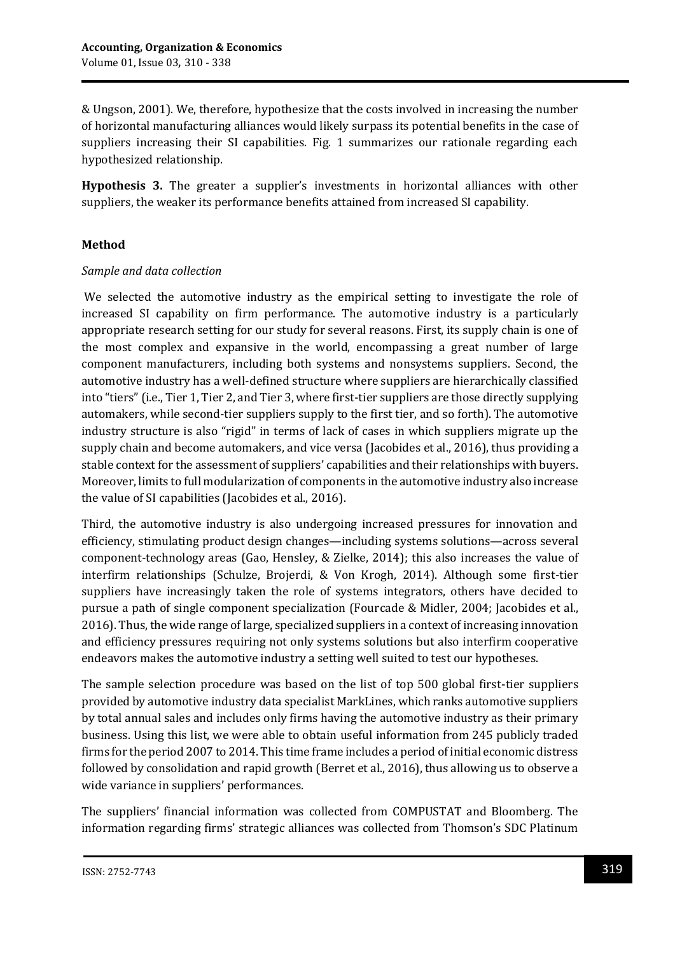& Ungson, 2001). We, therefore, hypothesize that the costs involved in increasing the number of horizontal manufacturing alliances would likely surpass its potential benefits in the case of suppliers increasing their SI capabilities. Fig. 1 summarizes our rationale regarding each hypothesized relationship.

**Hypothesis 3.** The greater a supplier's investments in horizontal alliances with other suppliers, the weaker its performance benefits attained from increased SI capability.

### **Method**

#### *Sample and data collection*

We selected the automotive industry as the empirical setting to investigate the role of increased SI capability on firm performance. The automotive industry is a particularly appropriate research setting for our study for several reasons. First, its supply chain is one of the most complex and expansive in the world, encompassing a great number of large component manufacturers, including both systems and nonsystems suppliers. Second, the automotive industry has a well-defined structure where suppliers are hierarchically classified into "tiers" (i.e., Tier 1, Tier 2, and Tier 3, where first-tier suppliers are those directly supplying automakers, while second-tier suppliers supply to the first tier, and so forth). The automotive industry structure is also "rigid" in terms of lack of cases in which suppliers migrate up the supply chain and become automakers, and vice versa (Jacobides et al., 2016), thus providing a stable context for the assessment of suppliers' capabilities and their relationships with buyers. Moreover, limits to full modularization of components in the automotive industry also increase the value of SI capabilities (Jacobides et al., 2016).

Third, the automotive industry is also undergoing increased pressures for innovation and efficiency, stimulating product design changes—including systems solutions—across several component-technology areas (Gao, Hensley, & Zielke, 2014); this also increases the value of interfirm relationships (Schulze, Brojerdi, & Von Krogh, 2014). Although some first-tier suppliers have increasingly taken the role of systems integrators, others have decided to pursue a path of single component specialization (Fourcade & Midler, 2004; Jacobides et al., 2016). Thus, the wide range of large, specialized suppliers in a context of increasing innovation and efficiency pressures requiring not only systems solutions but also interfirm cooperative endeavors makes the automotive industry a setting well suited to test our hypotheses.

The sample selection procedure was based on the list of top 500 global first-tier suppliers provided by automotive industry data specialist MarkLines, which ranks automotive suppliers by total annual sales and includes only firms having the automotive industry as their primary business. Using this list, we were able to obtain useful information from 245 publicly traded firms for the period 2007 to 2014. This time frame includes a period of initial economic distress followed by consolidation and rapid growth (Berret et al., 2016), thus allowing us to observe a wide variance in suppliers' performances.

The suppliers' financial information was collected from COMPUSTAT and Bloomberg. The information regarding firms' strategic alliances was collected from Thomson's SDC Platinum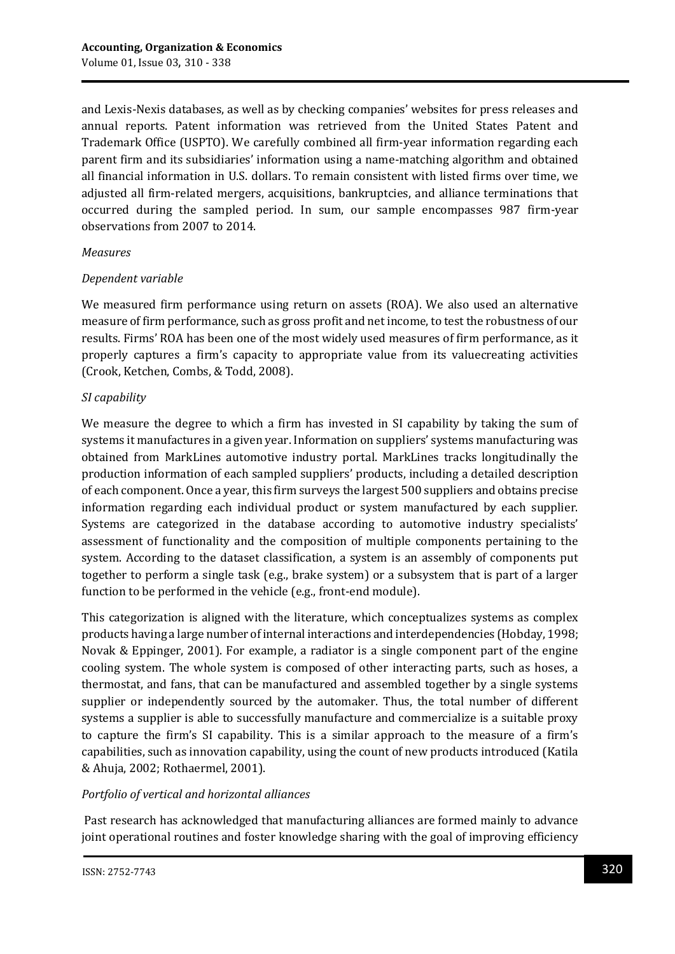and Lexis-Nexis databases, as well as by checking companies' websites for press releases and annual reports. Patent information was retrieved from the United States Patent and Trademark Office (USPTO). We carefully combined all firm-year information regarding each parent firm and its subsidiaries' information using a name-matching algorithm and obtained all financial information in U.S. dollars. To remain consistent with listed firms over time, we adjusted all firm-related mergers, acquisitions, bankruptcies, and alliance terminations that occurred during the sampled period. In sum, our sample encompasses 987 firm-year observations from 2007 to 2014.

#### *Measures*

#### *Dependent variable*

We measured firm performance using return on assets (ROA). We also used an alternative measure of firm performance, such as gross profit and net income, to test the robustness of our results. Firms' ROA has been one of the most widely used measures of firm performance, as it properly captures a firm's capacity to appropriate value from its valuecreating activities (Crook, Ketchen, Combs, & Todd, 2008).

#### *SI capability*

We measure the degree to which a firm has invested in SI capability by taking the sum of systems it manufactures in a given year. Information on suppliers' systems manufacturing was obtained from MarkLines automotive industry portal. MarkLines tracks longitudinally the production information of each sampled suppliers' products, including a detailed description of each component. Once a year, this firm surveys the largest 500 suppliers and obtains precise information regarding each individual product or system manufactured by each supplier. Systems are categorized in the database according to automotive industry specialists' assessment of functionality and the composition of multiple components pertaining to the system. According to the dataset classification, a system is an assembly of components put together to perform a single task (e.g., brake system) or a subsystem that is part of a larger function to be performed in the vehicle (e.g., front-end module).

This categorization is aligned with the literature, which conceptualizes systems as complex products having a large number of internal interactions and interdependencies (Hobday, 1998; Novak & Eppinger, 2001). For example, a radiator is a single component part of the engine cooling system. The whole system is composed of other interacting parts, such as hoses, a thermostat, and fans, that can be manufactured and assembled together by a single systems supplier or independently sourced by the automaker. Thus, the total number of different systems a supplier is able to successfully manufacture and commercialize is a suitable proxy to capture the firm's SI capability. This is a similar approach to the measure of a firm's capabilities, such as innovation capability, using the count of new products introduced (Katila & Ahuja, 2002; Rothaermel, 2001).

#### *Portfolio of vertical and horizontal alliances*

Past research has acknowledged that manufacturing alliances are formed mainly to advance joint operational routines and foster knowledge sharing with the goal of improving efficiency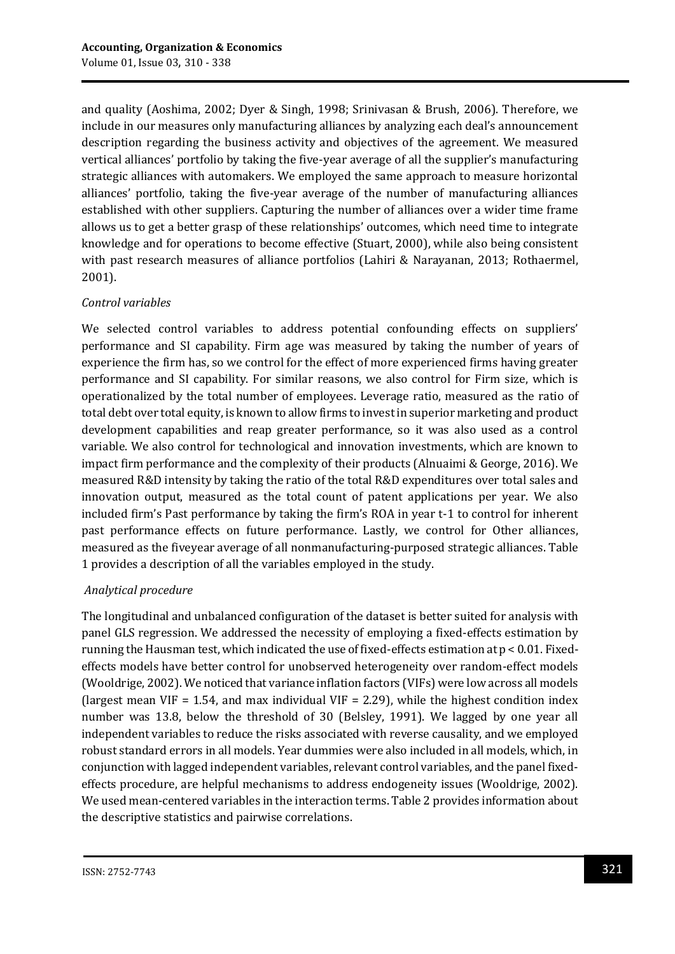and quality (Aoshima, 2002; Dyer & Singh, 1998; Srinivasan & Brush, 2006). Therefore, we include in our measures only manufacturing alliances by analyzing each deal's announcement description regarding the business activity and objectives of the agreement. We measured vertical alliances' portfolio by taking the five-year average of all the supplier's manufacturing strategic alliances with automakers. We employed the same approach to measure horizontal alliances' portfolio, taking the five-year average of the number of manufacturing alliances established with other suppliers. Capturing the number of alliances over a wider time frame allows us to get a better grasp of these relationships' outcomes, which need time to integrate knowledge and for operations to become effective (Stuart, 2000), while also being consistent with past research measures of alliance portfolios (Lahiri & Narayanan, 2013; Rothaermel, 2001).

#### *Control variables*

We selected control variables to address potential confounding effects on suppliers' performance and SI capability. Firm age was measured by taking the number of years of experience the firm has, so we control for the effect of more experienced firms having greater performance and SI capability. For similar reasons, we also control for Firm size, which is operationalized by the total number of employees. Leverage ratio, measured as the ratio of total debt over total equity, is known to allow firms to invest in superior marketing and product development capabilities and reap greater performance, so it was also used as a control variable. We also control for technological and innovation investments, which are known to impact firm performance and the complexity of their products (Alnuaimi & George, 2016). We measured R&D intensity by taking the ratio of the total R&D expenditures over total sales and innovation output, measured as the total count of patent applications per year. We also included firm's Past performance by taking the firm's ROA in year t-1 to control for inherent past performance effects on future performance. Lastly, we control for Other alliances, measured as the fiveyear average of all nonmanufacturing-purposed strategic alliances. Table 1 provides a description of all the variables employed in the study.

#### *Analytical procedure*

The longitudinal and unbalanced configuration of the dataset is better suited for analysis with panel GLS regression. We addressed the necessity of employing a fixed-effects estimation by running the Hausman test, which indicated the use of fixed-effects estimation at p < 0.01. Fixedeffects models have better control for unobserved heterogeneity over random-effect models (Wooldrige, 2002). We noticed that variance inflation factors (VIFs) were low across all models (largest mean VIF = 1.54, and max individual VIF = 2.29), while the highest condition index number was 13.8, below the threshold of 30 (Belsley, 1991). We lagged by one year all independent variables to reduce the risks associated with reverse causality, and we employed robust standard errors in all models. Year dummies were also included in all models, which, in conjunction with lagged independent variables, relevant control variables, and the panel fixedeffects procedure, are helpful mechanisms to address endogeneity issues (Wooldrige, 2002). We used mean-centered variables in the interaction terms. Table 2 provides information about the descriptive statistics and pairwise correlations.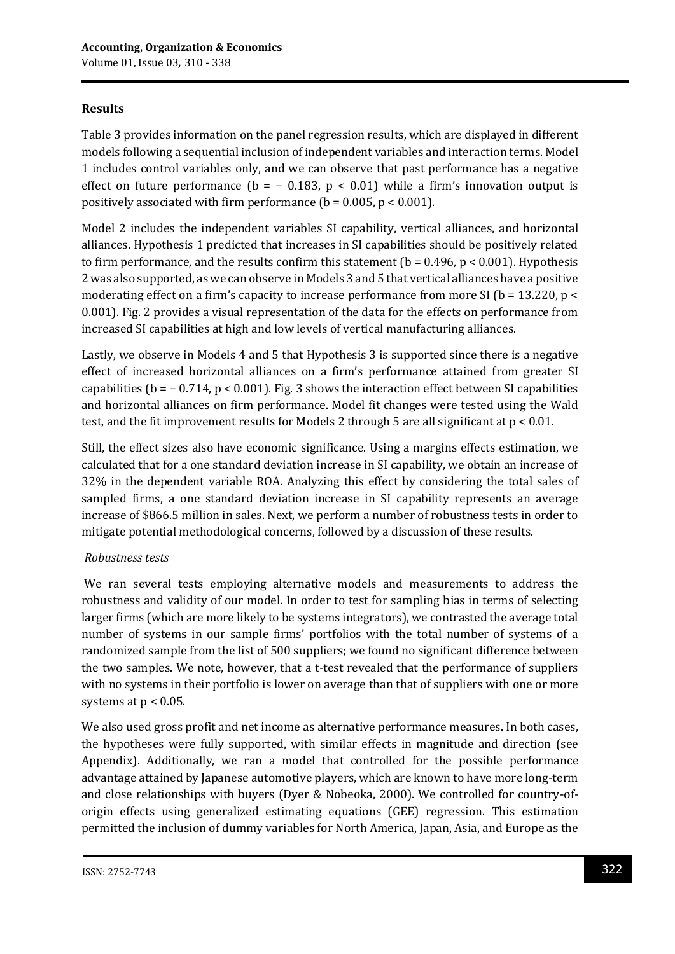## **Results**

Table 3 provides information on the panel regression results, which are displayed in different models following a sequential inclusion of independent variables and interaction terms. Model 1 includes control variables only, and we can observe that past performance has a negative effect on future performance ( $b = -0.183$ ,  $p < 0.01$ ) while a firm's innovation output is positively associated with firm performance ( $b = 0.005$ ,  $p < 0.001$ ).

Model 2 includes the independent variables SI capability, vertical alliances, and horizontal alliances. Hypothesis 1 predicted that increases in SI capabilities should be positively related to firm performance, and the results confirm this statement ( $b = 0.496$ ,  $p < 0.001$ ). Hypothesis 2 was also supported, as we can observe in Models 3 and 5 that vertical alliances have a positive moderating effect on a firm's capacity to increase performance from more SI ( $b = 13.220$ ,  $p <$ 0.001). Fig. 2 provides a visual representation of the data for the effects on performance from increased SI capabilities at high and low levels of vertical manufacturing alliances.

Lastly, we observe in Models 4 and 5 that Hypothesis 3 is supported since there is a negative effect of increased horizontal alliances on a firm's performance attained from greater SI capabilities (b = − 0.714, p < 0.001). Fig. 3 shows the interaction effect between SI capabilities and horizontal alliances on firm performance. Model fit changes were tested using the Wald test, and the fit improvement results for Models 2 through 5 are all significant at p < 0.01.

Still, the effect sizes also have economic significance. Using a margins effects estimation, we calculated that for a one standard deviation increase in SI capability, we obtain an increase of 32% in the dependent variable ROA. Analyzing this effect by considering the total sales of sampled firms, a one standard deviation increase in SI capability represents an average increase of \$866.5 million in sales. Next, we perform a number of robustness tests in order to mitigate potential methodological concerns, followed by a discussion of these results.

## *Robustness tests*

We ran several tests employing alternative models and measurements to address the robustness and validity of our model. In order to test for sampling bias in terms of selecting larger firms (which are more likely to be systems integrators), we contrasted the average total number of systems in our sample firms' portfolios with the total number of systems of a randomized sample from the list of 500 suppliers; we found no significant difference between the two samples. We note, however, that a t-test revealed that the performance of suppliers with no systems in their portfolio is lower on average than that of suppliers with one or more systems at  $p < 0.05$ .

We also used gross profit and net income as alternative performance measures. In both cases, the hypotheses were fully supported, with similar effects in magnitude and direction (see Appendix). Additionally, we ran a model that controlled for the possible performance advantage attained by Japanese automotive players, which are known to have more long-term and close relationships with buyers (Dyer & Nobeoka, 2000). We controlled for country-oforigin effects using generalized estimating equations (GEE) regression. This estimation permitted the inclusion of dummy variables for North America, Japan, Asia, and Europe as the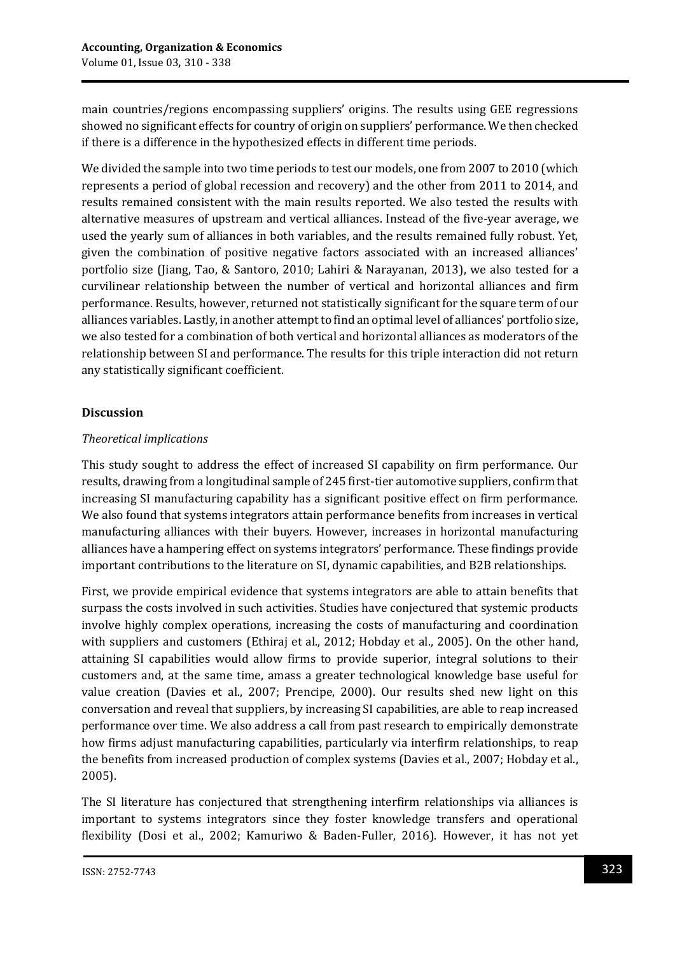main countries/regions encompassing suppliers' origins. The results using GEE regressions showed no significant effects for country of origin on suppliers' performance. We then checked if there is a difference in the hypothesized effects in different time periods.

We divided the sample into two time periods to test our models, one from 2007 to 2010 (which represents a period of global recession and recovery) and the other from 2011 to 2014, and results remained consistent with the main results reported. We also tested the results with alternative measures of upstream and vertical alliances. Instead of the five-year average, we used the yearly sum of alliances in both variables, and the results remained fully robust. Yet, given the combination of positive negative factors associated with an increased alliances' portfolio size (Jiang, Tao, & Santoro, 2010; Lahiri & Narayanan, 2013), we also tested for a curvilinear relationship between the number of vertical and horizontal alliances and firm performance. Results, however, returned not statistically significant for the square term of our alliances variables. Lastly, in another attempt to find an optimal level of alliances' portfolio size, we also tested for a combination of both vertical and horizontal alliances as moderators of the relationship between SI and performance. The results for this triple interaction did not return any statistically significant coefficient.

## **Discussion**

### *Theoretical implications*

This study sought to address the effect of increased SI capability on firm performance. Our results, drawing from a longitudinal sample of 245 first-tier automotive suppliers, confirm that increasing SI manufacturing capability has a significant positive effect on firm performance. We also found that systems integrators attain performance benefits from increases in vertical manufacturing alliances with their buyers. However, increases in horizontal manufacturing alliances have a hampering effect on systems integrators' performance. These findings provide important contributions to the literature on SI, dynamic capabilities, and B2B relationships.

First, we provide empirical evidence that systems integrators are able to attain benefits that surpass the costs involved in such activities. Studies have conjectured that systemic products involve highly complex operations, increasing the costs of manufacturing and coordination with suppliers and customers (Ethiraj et al., 2012; Hobday et al., 2005). On the other hand, attaining SI capabilities would allow firms to provide superior, integral solutions to their customers and, at the same time, amass a greater technological knowledge base useful for value creation (Davies et al., 2007; Prencipe, 2000). Our results shed new light on this conversation and reveal that suppliers, by increasing SI capabilities, are able to reap increased performance over time. We also address a call from past research to empirically demonstrate how firms adjust manufacturing capabilities, particularly via interfirm relationships, to reap the benefits from increased production of complex systems (Davies et al., 2007; Hobday et al., 2005).

The SI literature has conjectured that strengthening interfirm relationships via alliances is important to systems integrators since they foster knowledge transfers and operational flexibility (Dosi et al., 2002; Kamuriwo & Baden-Fuller, 2016). However, it has not yet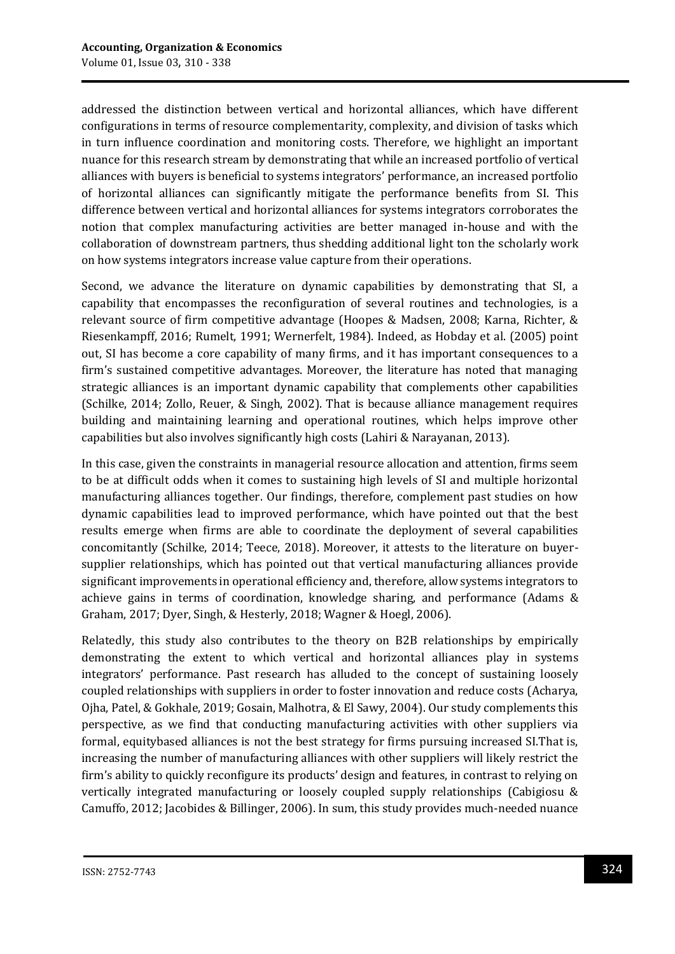addressed the distinction between vertical and horizontal alliances, which have different configurations in terms of resource complementarity, complexity, and division of tasks which in turn influence coordination and monitoring costs. Therefore, we highlight an important nuance for this research stream by demonstrating that while an increased portfolio of vertical alliances with buyers is beneficial to systems integrators' performance, an increased portfolio of horizontal alliances can significantly mitigate the performance benefits from SI. This difference between vertical and horizontal alliances for systems integrators corroborates the notion that complex manufacturing activities are better managed in-house and with the collaboration of downstream partners, thus shedding additional light ton the scholarly work on how systems integrators increase value capture from their operations.

Second, we advance the literature on dynamic capabilities by demonstrating that SI, a capability that encompasses the reconfiguration of several routines and technologies, is a relevant source of firm competitive advantage (Hoopes & Madsen, 2008; Karna, Richter, & Riesenkampff, 2016; Rumelt, 1991; Wernerfelt, 1984). Indeed, as Hobday et al. (2005) point out, SI has become a core capability of many firms, and it has important consequences to a firm's sustained competitive advantages. Moreover, the literature has noted that managing strategic alliances is an important dynamic capability that complements other capabilities (Schilke, 2014; Zollo, Reuer, & Singh, 2002). That is because alliance management requires building and maintaining learning and operational routines, which helps improve other capabilities but also involves significantly high costs (Lahiri & Narayanan, 2013).

In this case, given the constraints in managerial resource allocation and attention, firms seem to be at difficult odds when it comes to sustaining high levels of SI and multiple horizontal manufacturing alliances together. Our findings, therefore, complement past studies on how dynamic capabilities lead to improved performance, which have pointed out that the best results emerge when firms are able to coordinate the deployment of several capabilities concomitantly (Schilke, 2014; Teece, 2018). Moreover, it attests to the literature on buyersupplier relationships, which has pointed out that vertical manufacturing alliances provide significant improvements in operational efficiency and, therefore, allow systems integrators to achieve gains in terms of coordination, knowledge sharing, and performance (Adams & Graham, 2017; Dyer, Singh, & Hesterly, 2018; Wagner & Hoegl, 2006).

Relatedly, this study also contributes to the theory on B2B relationships by empirically demonstrating the extent to which vertical and horizontal alliances play in systems integrators' performance. Past research has alluded to the concept of sustaining loosely coupled relationships with suppliers in order to foster innovation and reduce costs (Acharya, Ojha, Patel, & Gokhale, 2019; Gosain, Malhotra, & El Sawy, 2004). Our study complements this perspective, as we find that conducting manufacturing activities with other suppliers via formal, equitybased alliances is not the best strategy for firms pursuing increased SI.That is, increasing the number of manufacturing alliances with other suppliers will likely restrict the firm's ability to quickly reconfigure its products' design and features, in contrast to relying on vertically integrated manufacturing or loosely coupled supply relationships (Cabigiosu & Camuffo, 2012; Jacobides & Billinger, 2006). In sum, this study provides much-needed nuance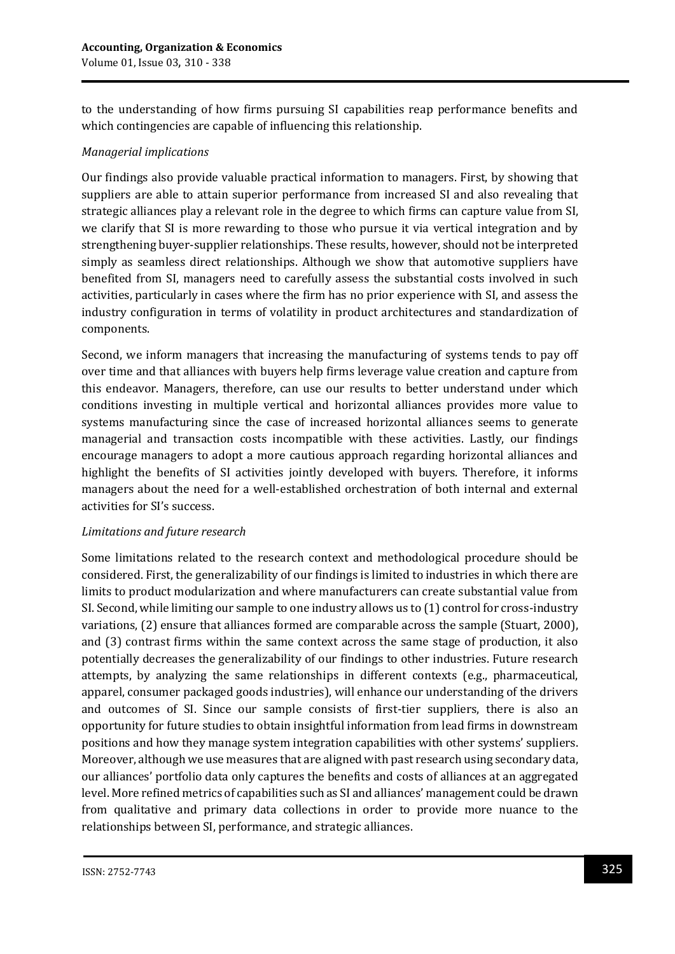to the understanding of how firms pursuing SI capabilities reap performance benefits and which contingencies are capable of influencing this relationship.

#### *Managerial implications*

Our findings also provide valuable practical information to managers. First, by showing that suppliers are able to attain superior performance from increased SI and also revealing that strategic alliances play a relevant role in the degree to which firms can capture value from SI, we clarify that SI is more rewarding to those who pursue it via vertical integration and by strengthening buyer-supplier relationships. These results, however, should not be interpreted simply as seamless direct relationships. Although we show that automotive suppliers have benefited from SI, managers need to carefully assess the substantial costs involved in such activities, particularly in cases where the firm has no prior experience with SI, and assess the industry configuration in terms of volatility in product architectures and standardization of components.

Second, we inform managers that increasing the manufacturing of systems tends to pay off over time and that alliances with buyers help firms leverage value creation and capture from this endeavor. Managers, therefore, can use our results to better understand under which conditions investing in multiple vertical and horizontal alliances provides more value to systems manufacturing since the case of increased horizontal alliances seems to generate managerial and transaction costs incompatible with these activities. Lastly, our findings encourage managers to adopt a more cautious approach regarding horizontal alliances and highlight the benefits of SI activities jointly developed with buyers. Therefore, it informs managers about the need for a well-established orchestration of both internal and external activities for SI's success.

#### *Limitations and future research*

Some limitations related to the research context and methodological procedure should be considered. First, the generalizability of our findings is limited to industries in which there are limits to product modularization and where manufacturers can create substantial value from SI. Second, while limiting our sample to one industry allows us to (1) control for cross-industry variations, (2) ensure that alliances formed are comparable across the sample (Stuart, 2000), and (3) contrast firms within the same context across the same stage of production, it also potentially decreases the generalizability of our findings to other industries. Future research attempts, by analyzing the same relationships in different contexts (e.g., pharmaceutical, apparel, consumer packaged goods industries), will enhance our understanding of the drivers and outcomes of SI. Since our sample consists of first-tier suppliers, there is also an opportunity for future studies to obtain insightful information from lead firms in downstream positions and how they manage system integration capabilities with other systems' suppliers. Moreover, although we use measures that are aligned with past research using secondary data, our alliances' portfolio data only captures the benefits and costs of alliances at an aggregated level. More refined metrics of capabilities such as SI and alliances' management could be drawn from qualitative and primary data collections in order to provide more nuance to the relationships between SI, performance, and strategic alliances.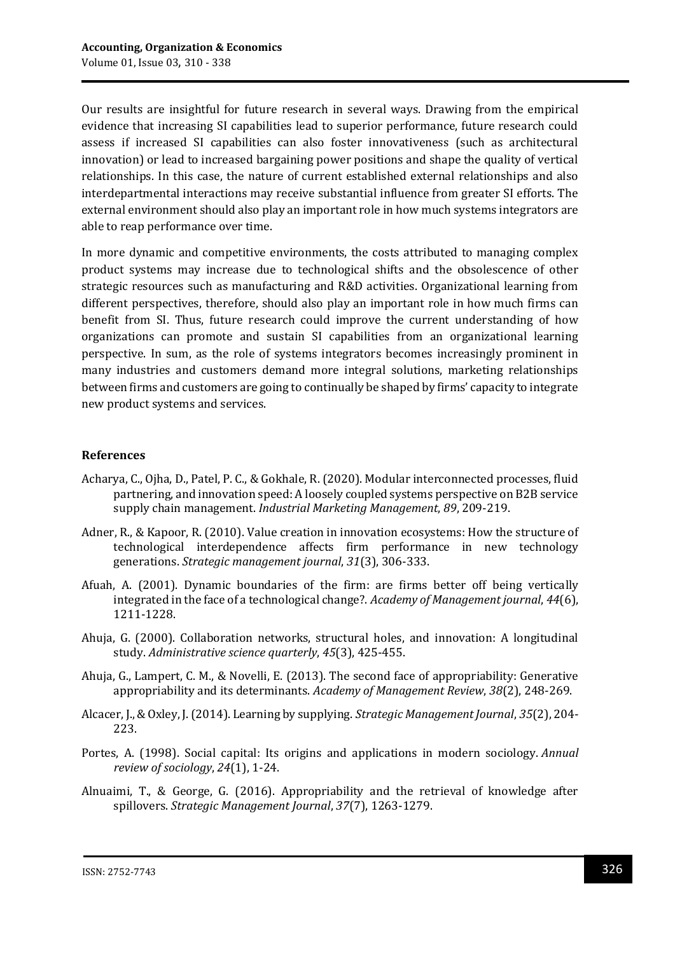Our results are insightful for future research in several ways. Drawing from the empirical evidence that increasing SI capabilities lead to superior performance, future research could assess if increased SI capabilities can also foster innovativeness (such as architectural innovation) or lead to increased bargaining power positions and shape the quality of vertical relationships. In this case, the nature of current established external relationships and also interdepartmental interactions may receive substantial influence from greater SI efforts. The external environment should also play an important role in how much systems integrators are able to reap performance over time.

In more dynamic and competitive environments, the costs attributed to managing complex product systems may increase due to technological shifts and the obsolescence of other strategic resources such as manufacturing and R&D activities. Organizational learning from different perspectives, therefore, should also play an important role in how much firms can benefit from SI. Thus, future research could improve the current understanding of how organizations can promote and sustain SI capabilities from an organizational learning perspective. In sum, as the role of systems integrators becomes increasingly prominent in many industries and customers demand more integral solutions, marketing relationships between firms and customers are going to continually be shaped by firms' capacity to integrate new product systems and services.

#### **References**

- Acharya, C., Ojha, D., Patel, P. C., & Gokhale, R. (2020). Modular interconnected processes, fluid partnering, and innovation speed: A loosely coupled systems perspective on B2B service supply chain management. *Industrial Marketing Management*, *89*, 209-219.
- Adner, R., & Kapoor, R. (2010). Value creation in innovation ecosystems: How the structure of technological interdependence affects firm performance in new technology generations. *Strategic management journal*, *31*(3), 306-333.
- Afuah, A. (2001). Dynamic boundaries of the firm: are firms better off being vertically integrated in the face of a technological change?. *Academy of Management journal*, *44*(6), 1211-1228.
- Ahuja, G. (2000). Collaboration networks, structural holes, and innovation: A longitudinal study. *Administrative science quarterly*, *45*(3), 425-455.
- Ahuja, G., Lampert, C. M., & Novelli, E. (2013). The second face of appropriability: Generative appropriability and its determinants. *Academy of Management Review*, *38*(2), 248-269.
- Alcacer, J., & Oxley, J. (2014). Learning by supplying. *Strategic Management Journal*, *35*(2), 204- 223.
- Portes, A. (1998). Social capital: Its origins and applications in modern sociology. *Annual review of sociology*, *24*(1), 1-24.
- Alnuaimi, T., & George, G. (2016). Appropriability and the retrieval of knowledge after spillovers. *Strategic Management Journal*, *37*(7), 1263-1279.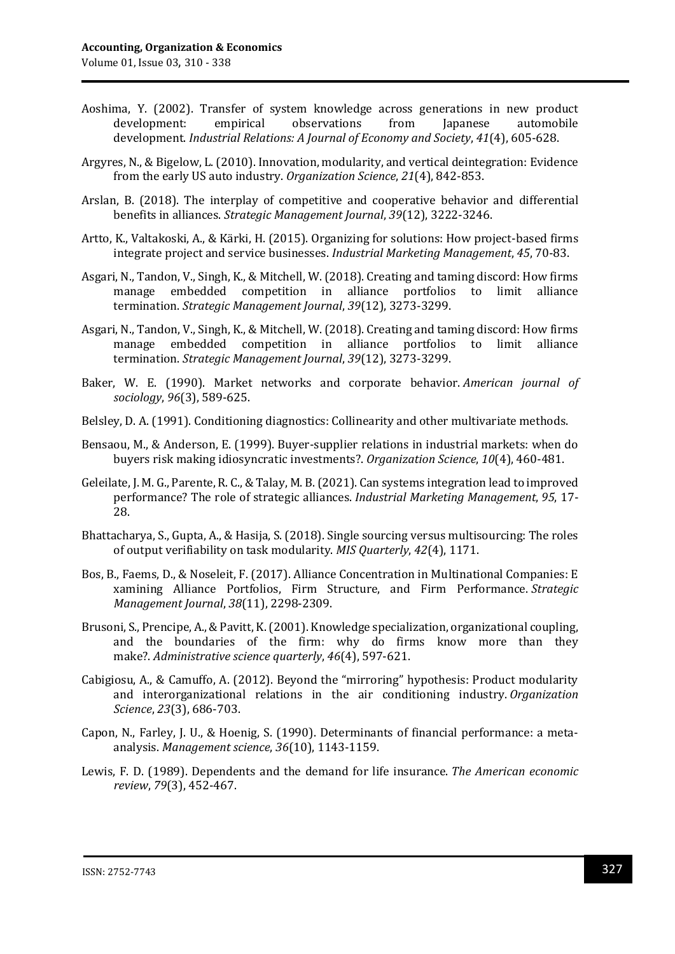- Aoshima, Y. (2002). Transfer of system knowledge across generations in new product development: empirical observations from Japanese automobile development. *Industrial Relations: A Journal of Economy and Society*, *41*(4), 605-628.
- Argyres, N., & Bigelow, L. (2010). Innovation, modularity, and vertical deintegration: Evidence from the early US auto industry. *Organization Science*, *21*(4), 842-853.
- Arslan, B. (2018). The interplay of competitive and cooperative behavior and differential benefits in alliances. *Strategic Management Journal*, *39*(12), 3222-3246.
- Artto, K., Valtakoski, A., & Kärki, H. (2015). Organizing for solutions: How project-based firms integrate project and service businesses. *Industrial Marketing Management*, *45*, 70-83.
- Asgari, N., Tandon, V., Singh, K., & Mitchell, W. (2018). Creating and taming discord: How firms manage embedded competition in alliance portfolios to limit alliance termination. *Strategic Management Journal*, *39*(12), 3273-3299.
- Asgari, N., Tandon, V., Singh, K., & Mitchell, W. (2018). Creating and taming discord: How firms manage embedded competition in alliance portfolios to limit alliance termination. *Strategic Management Journal*, *39*(12), 3273-3299.
- Baker, W. E. (1990). Market networks and corporate behavior. *American journal of sociology*, *96*(3), 589-625.
- Belsley, D. A. (1991). Conditioning diagnostics: Collinearity and other multivariate methods.
- Bensaou, M., & Anderson, E. (1999). Buyer-supplier relations in industrial markets: when do buyers risk making idiosyncratic investments?. *Organization Science*, *10*(4), 460-481.
- Geleilate, J. M. G., Parente, R. C., & Talay, M. B. (2021). Can systems integration lead to improved performance? The role of strategic alliances. *Industrial Marketing Management*, *95*, 17- 28.
- Bhattacharya, S., Gupta, A., & Hasija, S. (2018). Single sourcing versus multisourcing: The roles of output verifiability on task modularity. *MIS Quarterly*, *42*(4), 1171.
- Bos, B., Faems, D., & Noseleit, F. (2017). Alliance Concentration in Multinational Companies: E xamining Alliance Portfolios, Firm Structure, and Firm Performance. *Strategic Management Journal*, *38*(11), 2298-2309.
- Brusoni, S., Prencipe, A., & Pavitt, K. (2001). Knowledge specialization, organizational coupling, and the boundaries of the firm: why do firms know more than they make?. *Administrative science quarterly*, *46*(4), 597-621.
- Cabigiosu, A., & Camuffo, A. (2012). Beyond the "mirroring" hypothesis: Product modularity and interorganizational relations in the air conditioning industry. *Organization Science*, *23*(3), 686-703.
- Capon, N., Farley, J. U., & Hoenig, S. (1990). Determinants of financial performance: a metaanalysis. *Management science*, *36*(10), 1143-1159.
- Lewis, F. D. (1989). Dependents and the demand for life insurance. *The American economic review*, *79*(3), 452-467.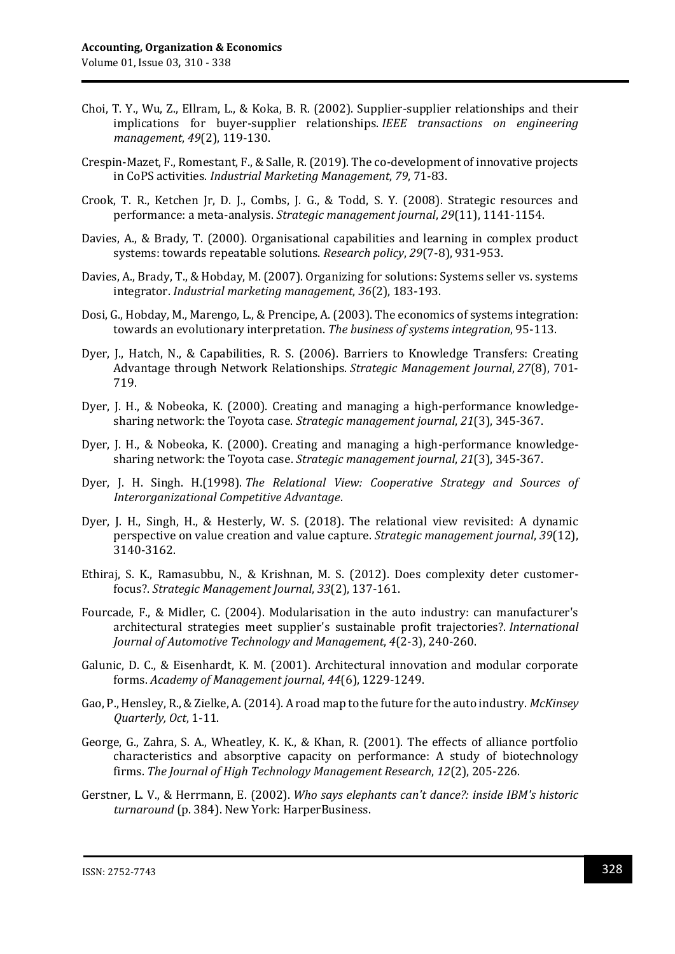- Choi, T. Y., Wu, Z., Ellram, L., & Koka, B. R. (2002). Supplier-supplier relationships and their implications for buyer-supplier relationships. *IEEE transactions on engineering management*, *49*(2), 119-130.
- Crespin-Mazet, F., Romestant, F., & Salle, R. (2019). The co-development of innovative projects in CoPS activities. *Industrial Marketing Management*, *79*, 71-83.
- Crook, T. R., Ketchen Jr, D. J., Combs, J. G., & Todd, S. Y. (2008). Strategic resources and performance: a meta‐analysis. *Strategic management journal*, *29*(11), 1141-1154.
- Davies, A., & Brady, T. (2000). Organisational capabilities and learning in complex product systems: towards repeatable solutions. *Research policy*, *29*(7-8), 931-953.
- Davies, A., Brady, T., & Hobday, M. (2007). Organizing for solutions: Systems seller vs. systems integrator. *Industrial marketing management*, *36*(2), 183-193.
- Dosi, G., Hobday, M., Marengo, L., & Prencipe, A. (2003). The economics of systems integration: towards an evolutionary interpretation. *The business of systems integration*, 95-113.
- Dyer, J., Hatch, N., & Capabilities, R. S. (2006). Barriers to Knowledge Transfers: Creating Advantage through Network Relationships. *Strategic Management Journal*, *27*(8), 701- 719.
- Dyer, J. H., & Nobeoka, K. (2000). Creating and managing a high-performance knowledgesharing network: the Toyota case. *Strategic management journal*, *21*(3), 345-367.
- Dyer, J. H., & Nobeoka, K. (2000). Creating and managing a high-performance knowledgesharing network: the Toyota case. *Strategic management journal*, *21*(3), 345-367.
- Dyer, J. H. Singh. H.(1998). *The Relational View: Cooperative Strategy and Sources of Interorganizational Competitive Advantage*.
- Dyer, J. H., Singh, H., & Hesterly, W. S. (2018). The relational view revisited: A dynamic perspective on value creation and value capture. *Strategic management journal*, *39*(12), 3140-3162.
- Ethiraj, S. K., Ramasubbu, N., & Krishnan, M. S. (2012). Does complexity deter customer‐ focus?. *Strategic Management Journal*, *33*(2), 137-161.
- Fourcade, F., & Midler, C. (2004). Modularisation in the auto industry: can manufacturer's architectural strategies meet supplier's sustainable profit trajectories?. *International Journal of Automotive Technology and Management*, *4*(2-3), 240-260.
- Galunic, D. C., & Eisenhardt, K. M. (2001). Architectural innovation and modular corporate forms. *Academy of Management journal*, *44*(6), 1229-1249.
- Gao, P., Hensley, R., & Zielke, A. (2014). A road map to the future for the auto industry. *McKinsey Quarterly, Oct*, 1-11.
- George, G., Zahra, S. A., Wheatley, K. K., & Khan, R. (2001). The effects of alliance portfolio characteristics and absorptive capacity on performance: A study of biotechnology firms. *The Journal of High Technology Management Research*, *12*(2), 205-226.
- Gerstner, L. V., & Herrmann, E. (2002). *Who says elephants can't dance?: inside IBM's historic turnaround* (p. 384). New York: HarperBusiness.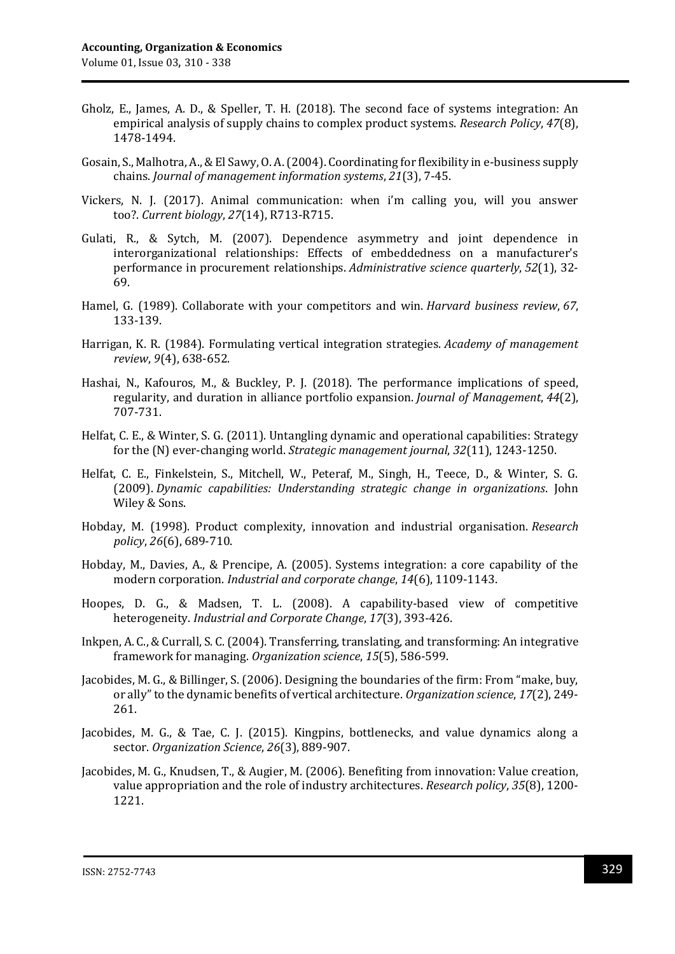- Gholz, E., James, A. D., & Speller, T. H. (2018). The second face of systems integration: An empirical analysis of supply chains to complex product systems. *Research Policy*, *47*(8), 1478-1494.
- Gosain, S., Malhotra, A., & El Sawy, O. A. (2004). Coordinating for flexibility in e-business supply chains. *Journal of management information systems*, *21*(3), 7-45.
- Vickers, N. J. (2017). Animal communication: when i'm calling you, will you answer too?. *Current biology*, *27*(14), R713-R715.
- Gulati, R., & Sytch, M. (2007). Dependence asymmetry and joint dependence in interorganizational relationships: Effects of embeddedness on a manufacturer's performance in procurement relationships. *Administrative science quarterly*, *52*(1), 32- 69.
- Hamel, G. (1989). Collaborate with your competitors and win. *Harvard business review*, *67*, 133-139.
- Harrigan, K. R. (1984). Formulating vertical integration strategies. *Academy of management review*, *9*(4), 638-652.
- Hashai, N., Kafouros, M., & Buckley, P. J. (2018). The performance implications of speed, regularity, and duration in alliance portfolio expansion. *Journal of Management*, *44*(2), 707-731.
- Helfat, C. E., & Winter, S. G. (2011). Untangling dynamic and operational capabilities: Strategy for the (N) ever‐changing world. *Strategic management journal*, *32*(11), 1243-1250.
- Helfat, C. E., Finkelstein, S., Mitchell, W., Peteraf, M., Singh, H., Teece, D., & Winter, S. G. (2009). *Dynamic capabilities: Understanding strategic change in organizations*. John Wiley & Sons.
- Hobday, M. (1998). Product complexity, innovation and industrial organisation. *Research policy*, *26*(6), 689-710.
- Hobday, M., Davies, A., & Prencipe, A. (2005). Systems integration: a core capability of the modern corporation. *Industrial and corporate change*, *14*(6), 1109-1143.
- Hoopes, D. G., & Madsen, T. L. (2008). A capability-based view of competitive heterogeneity. *Industrial and Corporate Change*, *17*(3), 393-426.
- Inkpen, A. C., & Currall, S. C. (2004). Transferring, translating, and transforming: An integrative framework for managing. *Organization science*, *15*(5), 586-599.
- Jacobides, M. G., & Billinger, S. (2006). Designing the boundaries of the firm: From "make, buy, or ally" to the dynamic benefits of vertical architecture. *Organization science*, *17*(2), 249- 261.
- Jacobides, M. G., & Tae, C. J. (2015). Kingpins, bottlenecks, and value dynamics along a sector. *Organization Science*, *26*(3), 889-907.
- Jacobides, M. G., Knudsen, T., & Augier, M. (2006). Benefiting from innovation: Value creation, value appropriation and the role of industry architectures. *Research policy*, *35*(8), 1200- 1221.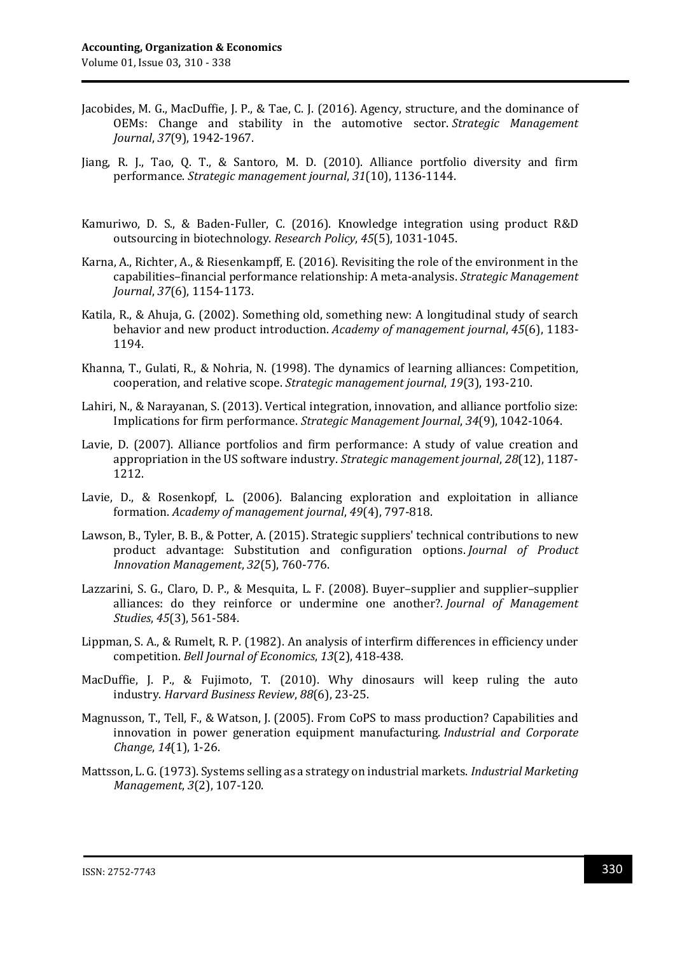- Jacobides, M. G., MacDuffie, J. P., & Tae, C. J. (2016). Agency, structure, and the dominance of OEMs: Change and stability in the automotive sector. *Strategic Management Journal*, *37*(9), 1942-1967.
- Jiang, R. J., Tao, Q. T., & Santoro, M. D. (2010). Alliance portfolio diversity and firm performance. *Strategic management journal*, *31*(10), 1136-1144.
- Kamuriwo, D. S., & Baden-Fuller, C. (2016). Knowledge integration using product R&D outsourcing in biotechnology. *Research Policy*, *45*(5), 1031-1045.
- Karna, A., Richter, A., & Riesenkampff, E. (2016). Revisiting the role of the environment in the capabilities–financial performance relationship: A meta‐analysis. *Strategic Management Journal*, *37*(6), 1154-1173.
- Katila, R., & Ahuja, G. (2002). Something old, something new: A longitudinal study of search behavior and new product introduction. *Academy of management journal*, *45*(6), 1183- 1194.
- Khanna, T., Gulati, R., & Nohria, N. (1998). The dynamics of learning alliances: Competition, cooperation, and relative scope. *Strategic management journal*, *19*(3), 193-210.
- Lahiri, N., & Narayanan, S. (2013). Vertical integration, innovation, and alliance portfolio size: Implications for firm performance. *Strategic Management Journal*, *34*(9), 1042-1064.
- Lavie, D. (2007). Alliance portfolios and firm performance: A study of value creation and appropriation in the US software industry. *Strategic management journal*, *28*(12), 1187- 1212.
- Lavie, D., & Rosenkopf, L. (2006). Balancing exploration and exploitation in alliance formation. *Academy of management journal*, *49*(4), 797-818.
- Lawson, B., Tyler, B. B., & Potter, A. (2015). Strategic suppliers' technical contributions to new product advantage: Substitution and configuration options. *Journal of Product Innovation Management*, *32*(5), 760-776.
- Lazzarini, S. G., Claro, D. P., & Mesquita, L. F. (2008). Buyer–supplier and supplier–supplier alliances: do they reinforce or undermine one another?. *Journal of Management Studies*, *45*(3), 561-584.
- Lippman, S. A., & Rumelt, R. P. (1982). An analysis of interfirm differences in efficiency under competition. *Bell Journal of Economics*, *13*(2), 418-438.
- MacDuffie, J. P., & Fujimoto, T. (2010). Why dinosaurs will keep ruling the auto industry. *Harvard Business Review*, *88*(6), 23-25.
- Magnusson, T., Tell, F., & Watson, J. (2005). From CoPS to mass production? Capabilities and innovation in power generation equipment manufacturing. *Industrial and Corporate Change*, *14*(1), 1-26.
- Mattsson, L. G.(1973). Systems selling as a strategy on industrial markets. *Industrial Marketing Management*, *3*(2), 107-120.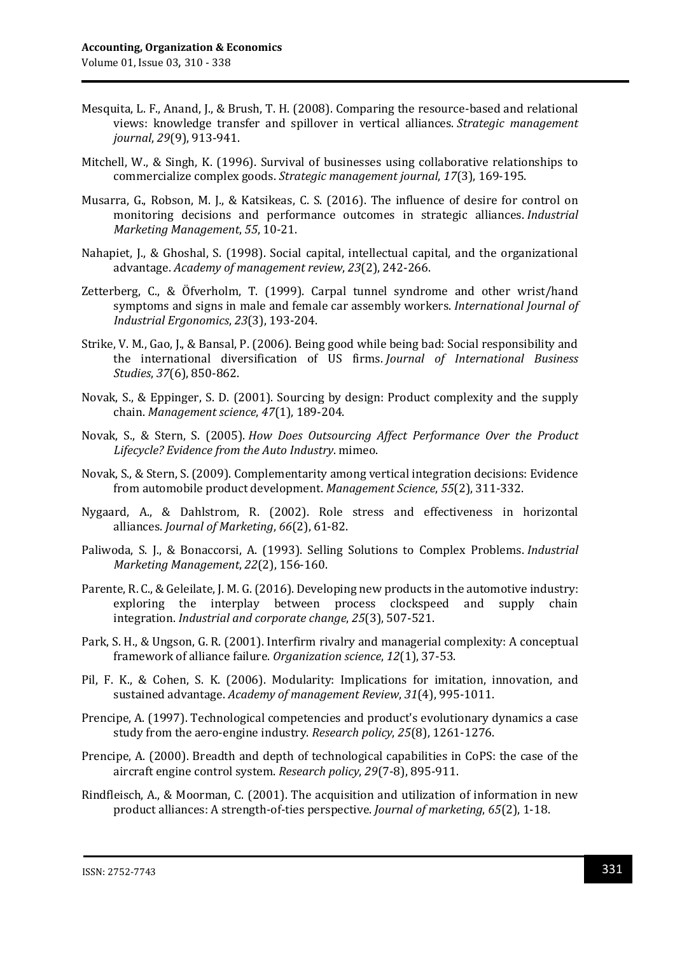- Mesquita, L. F., Anand, J., & Brush, T. H. (2008). Comparing the resource-based and relational views: knowledge transfer and spillover in vertical alliances. *Strategic management journal*, *29*(9), 913-941.
- Mitchell, W., & Singh, K. (1996). Survival of businesses using collaborative relationships to commercialize complex goods. *Strategic management journal*, *17*(3), 169-195.
- Musarra, G., Robson, M. J., & Katsikeas, C. S. (2016). The influence of desire for control on monitoring decisions and performance outcomes in strategic alliances. *Industrial Marketing Management*, *55*, 10-21.
- Nahapiet, J., & Ghoshal, S. (1998). Social capital, intellectual capital, and the organizational advantage. *Academy of management review*, *23*(2), 242-266.
- Zetterberg, C., & Öfverholm, T. (1999). Carpal tunnel syndrome and other wrist/hand symptoms and signs in male and female car assembly workers. *International Journal of Industrial Ergonomics*, *23*(3), 193-204.
- Strike, V. M., Gao, J., & Bansal, P. (2006). Being good while being bad: Social responsibility and the international diversification of US firms. *Journal of International Business Studies*, *37*(6), 850-862.
- Novak, S., & Eppinger, S. D. (2001). Sourcing by design: Product complexity and the supply chain. *Management science*, *47*(1), 189-204.
- Novak, S., & Stern, S. (2005). *How Does Outsourcing Affect Performance Over the Product Lifecycle? Evidence from the Auto Industry*. mimeo.
- Novak, S., & Stern, S. (2009). Complementarity among vertical integration decisions: Evidence from automobile product development. *Management Science*, *55*(2), 311-332.
- Nygaard, A., & Dahlstrom, R. (2002). Role stress and effectiveness in horizontal alliances. *Journal of Marketing*, *66*(2), 61-82.
- Paliwoda, S. J., & Bonaccorsi, A. (1993). Selling Solutions to Complex Problems. *Industrial Marketing Management*, *22*(2), 156-160.
- Parente, R. C., & Geleilate, J. M. G. (2016). Developing new products in the automotive industry: exploring the interplay between process clockspeed and supply chain integration. *Industrial and corporate change*, *25*(3), 507-521.
- Park, S. H., & Ungson, G. R. (2001). Interfirm rivalry and managerial complexity: A conceptual framework of alliance failure. *Organization science*, *12*(1), 37-53.
- Pil, F. K., & Cohen, S. K. (2006). Modularity: Implications for imitation, innovation, and sustained advantage. *Academy of management Review*, *31*(4), 995-1011.
- Prencipe, A. (1997). Technological competencies and product's evolutionary dynamics a case study from the aero-engine industry. *Research policy*, *25*(8), 1261-1276.
- Prencipe, A. (2000). Breadth and depth of technological capabilities in CoPS: the case of the aircraft engine control system. *Research policy*, *29*(7-8), 895-911.
- Rindfleisch, A., & Moorman, C. (2001). The acquisition and utilization of information in new product alliances: A strength-of-ties perspective. *Journal of marketing*, *65*(2), 1-18.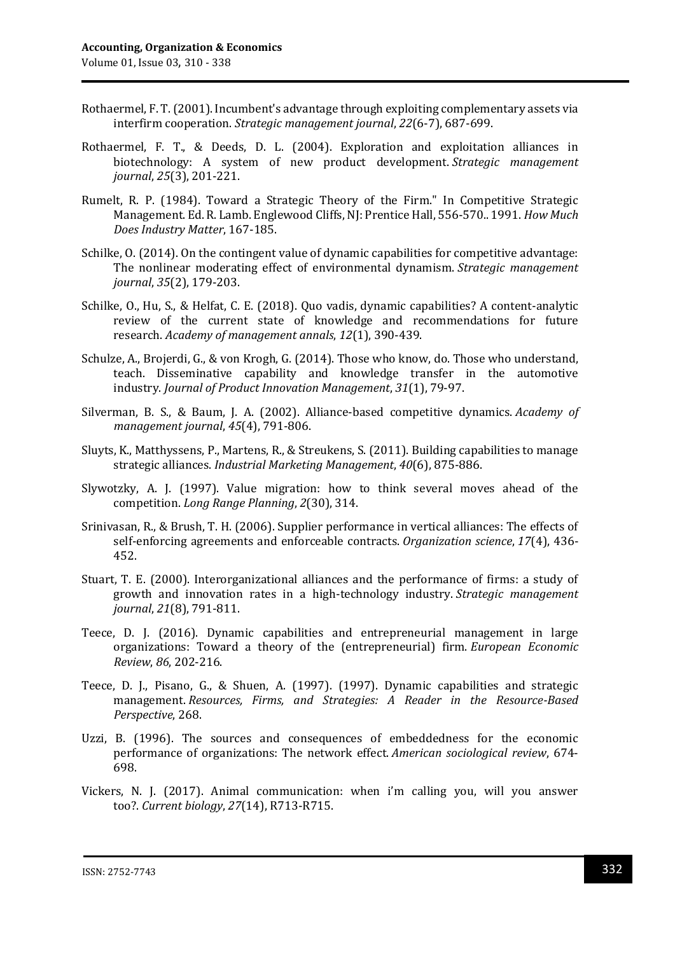- Rothaermel, F. T. (2001). Incumbent's advantage through exploiting complementary assets via interfirm cooperation. *Strategic management journal*, *22*(6‐7), 687-699.
- Rothaermel, F. T., & Deeds, D. L. (2004). Exploration and exploitation alliances in biotechnology: A system of new product development. *Strategic management journal*, *25*(3), 201-221.
- Rumelt, R. P. (1984). Toward a Strategic Theory of the Firm." In Competitive Strategic Management. Ed. R. Lamb. Englewood Cliffs, NJ: Prentice Hall, 556-570.. 1991. *How Much Does Industry Matter*, 167-185.
- Schilke, O. (2014). On the contingent value of dynamic capabilities for competitive advantage: The nonlinear moderating effect of environmental dynamism. *Strategic management journal*, *35*(2), 179-203.
- Schilke, O., Hu, S., & Helfat, C. E. (2018). Quo vadis, dynamic capabilities? A content-analytic review of the current state of knowledge and recommendations for future research. *Academy of management annals*, *12*(1), 390-439.
- Schulze, A., Brojerdi, G., & von Krogh, G. (2014). Those who know, do. Those who understand, teach. Disseminative capability and knowledge transfer in the automotive industry. *Journal of Product Innovation Management*, *31*(1), 79-97.
- Silverman, B. S., & Baum, J. A. (2002). Alliance-based competitive dynamics. *Academy of management journal*, *45*(4), 791-806.
- Sluyts, K., Matthyssens, P., Martens, R., & Streukens, S. (2011). Building capabilities to manage strategic alliances. *Industrial Marketing Management*, *40*(6), 875-886.
- Slywotzky, A. J. (1997). Value migration: how to think several moves ahead of the competition. *Long Range Planning*, *2*(30), 314.
- Srinivasan, R., & Brush, T. H. (2006). Supplier performance in vertical alliances: The effects of self-enforcing agreements and enforceable contracts. *Organization science*, *17*(4), 436- 452.
- Stuart, T. E. (2000). Interorganizational alliances and the performance of firms: a study of growth and innovation rates in a high‐technology industry. *Strategic management journal*, *21*(8), 791-811.
- Teece, D. J. (2016). Dynamic capabilities and entrepreneurial management in large organizations: Toward a theory of the (entrepreneurial) firm. *European Economic Review*, *86*, 202-216.
- Teece, D. J., Pisano, G., & Shuen, A. (1997). (1997). Dynamic capabilities and strategic management. *Resources, Firms, and Strategies: A Reader in the Resource-Based Perspective*, 268.
- Uzzi, B. (1996). The sources and consequences of embeddedness for the economic performance of organizations: The network effect. *American sociological review*, 674- 698.
- Vickers, N. J. (2017). Animal communication: when i'm calling you, will you answer too?. *Current biology*, *27*(14), R713-R715.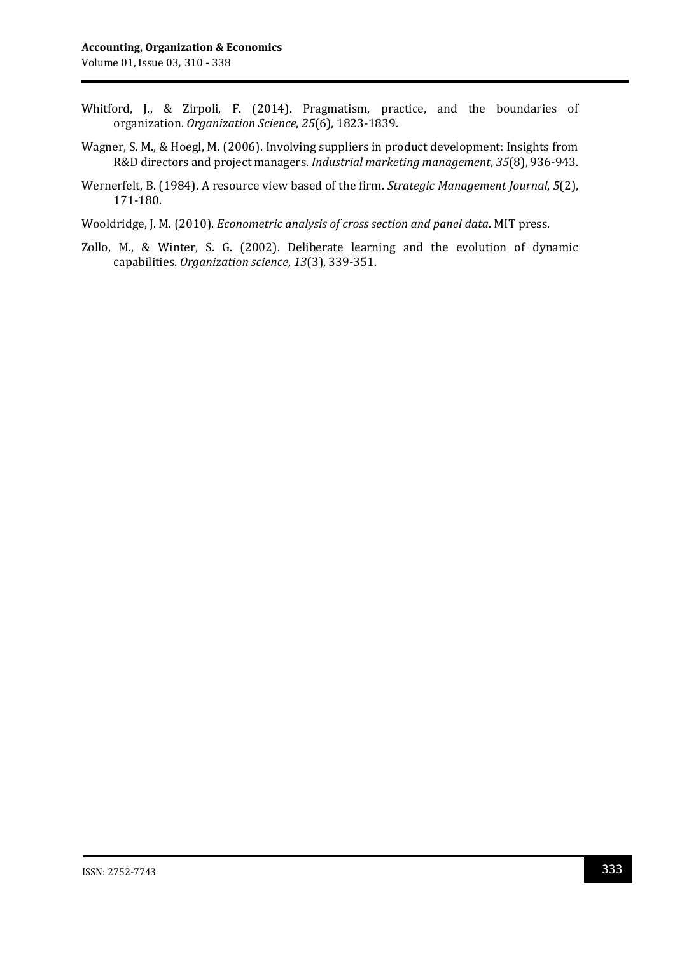- Whitford, J., & Zirpoli, F. (2014). Pragmatism, practice, and the boundaries of organization. *Organization Science*, *25*(6), 1823-1839.
- Wagner, S. M., & Hoegl, M. (2006). Involving suppliers in product development: Insights from R&D directors and project managers. *Industrial marketing management*, *35*(8), 936-943.
- Wernerfelt, B. (1984). A resource view based of the firm. *Strategic Management Journal*, *5*(2), 171-180.
- Wooldridge, J. M. (2010). *Econometric analysis of cross section and panel data*. MIT press.
- Zollo, M., & Winter, S. G. (2002). Deliberate learning and the evolution of dynamic capabilities. *Organization science*, *13*(3), 339-351.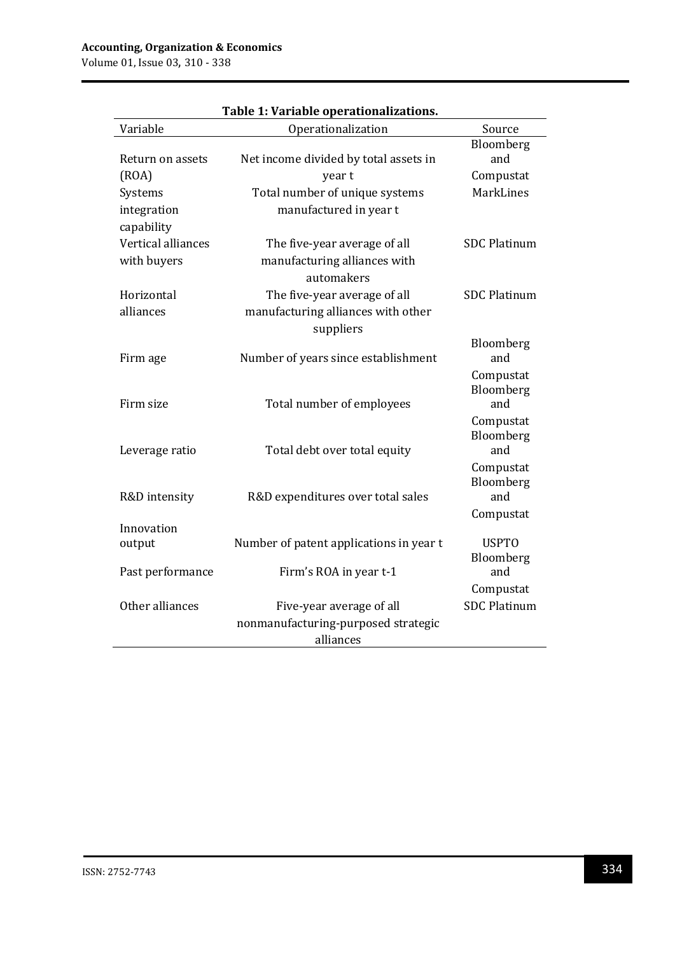Volume 01, Issue 03, 310 - 338

| Variable           | rabic 1. variabic operationalizations.<br>Operationalization | Source                 |
|--------------------|--------------------------------------------------------------|------------------------|
|                    |                                                              | Bloomberg              |
| Return on assets   | Net income divided by total assets in                        | and                    |
| (ROA)              | year t                                                       | Compustat              |
| Systems            | Total number of unique systems                               | <b>MarkLines</b>       |
| integration        | manufactured in year t                                       |                        |
| capability         |                                                              |                        |
| Vertical alliances | The five-year average of all                                 | <b>SDC Platinum</b>    |
| with buyers        | manufacturing alliances with                                 |                        |
|                    | automakers                                                   |                        |
| Horizontal         | The five-year average of all                                 | <b>SDC Platinum</b>    |
| alliances          | manufacturing alliances with other                           |                        |
|                    | suppliers                                                    |                        |
|                    |                                                              | Bloomberg              |
| Firm age           | Number of years since establishment                          | and                    |
|                    |                                                              | Compustat              |
| Firm size          |                                                              | Bloomberg<br>and       |
|                    | Total number of employees                                    |                        |
|                    |                                                              | Compustat<br>Bloomberg |
| Leverage ratio     | Total debt over total equity                                 | and                    |
|                    |                                                              | Compustat              |
|                    |                                                              | Bloomberg              |
| R&D intensity      | R&D expenditures over total sales                            | and                    |
|                    |                                                              | Compustat              |
| Innovation         |                                                              |                        |
| output             | Number of patent applications in year t                      | <b>USPTO</b>           |
|                    |                                                              | Bloomberg<br>and       |
| Past performance   | Firm's ROA in year t-1                                       |                        |
|                    |                                                              | Compustat              |
| Other alliances    | Five-year average of all                                     | <b>SDC Platinum</b>    |
|                    | nonmanufacturing-purposed strategic                          |                        |
|                    | alliances                                                    |                        |

## **Table 1: Variable operationalizations.**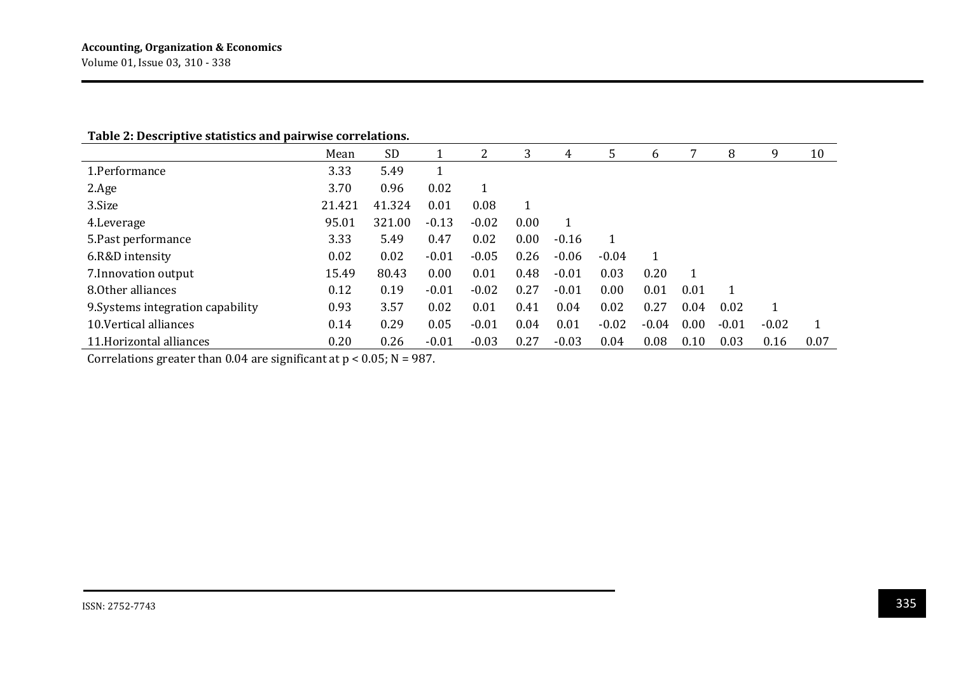#### **Table 2: Descriptive statistics and pairwise correlations.**

|                                   | Mean   | <b>SD</b> |         | 2       | 3    | 4       | 5       | 6       |      | 8       | 9       | 10   |
|-----------------------------------|--------|-----------|---------|---------|------|---------|---------|---------|------|---------|---------|------|
| 1.Performance                     | 3.33   | 5.49      |         |         |      |         |         |         |      |         |         |      |
| 2.Age                             | 3.70   | 0.96      | 0.02    |         |      |         |         |         |      |         |         |      |
| 3.Size                            | 21.421 | 41.324    | 0.01    | 0.08    |      |         |         |         |      |         |         |      |
| 4. Leverage                       | 95.01  | 321.00    | $-0.13$ | $-0.02$ | 0.00 |         |         |         |      |         |         |      |
| 5. Past performance               | 3.33   | 5.49      | 0.47    | 0.02    | 0.00 | $-0.16$ | 1       |         |      |         |         |      |
| 6.R&D intensity                   | 0.02   | 0.02      | $-0.01$ | $-0.05$ | 0.26 | $-0.06$ | $-0.04$ |         |      |         |         |      |
| 7. Innovation output              | 15.49  | 80.43     | 0.00    | 0.01    | 0.48 | $-0.01$ | 0.03    | 0.20    | 1    |         |         |      |
| 8.0ther alliances                 | 0.12   | 0.19      | $-0.01$ | $-0.02$ | 0.27 | $-0.01$ | 0.00    | 0.01    | 0.01 | 1       |         |      |
| 9. Systems integration capability | 0.93   | 3.57      | 0.02    | 0.01    | 0.41 | 0.04    | 0.02    | 0.27    | 0.04 | 0.02    |         |      |
| 10. Vertical alliances            | 0.14   | 0.29      | 0.05    | $-0.01$ | 0.04 | 0.01    | $-0.02$ | $-0.04$ | 0.00 | $-0.01$ | $-0.02$ |      |
| 11. Horizontal alliances          | 0.20   | 0.26      | $-0.01$ | $-0.03$ | 0.27 | $-0.03$ | 0.04    | 0.08    | 0.10 | 0.03    | 0.16    | 0.07 |

Correlations greater than 0.04 are significant at  $p < 0.05$ ; N = 987.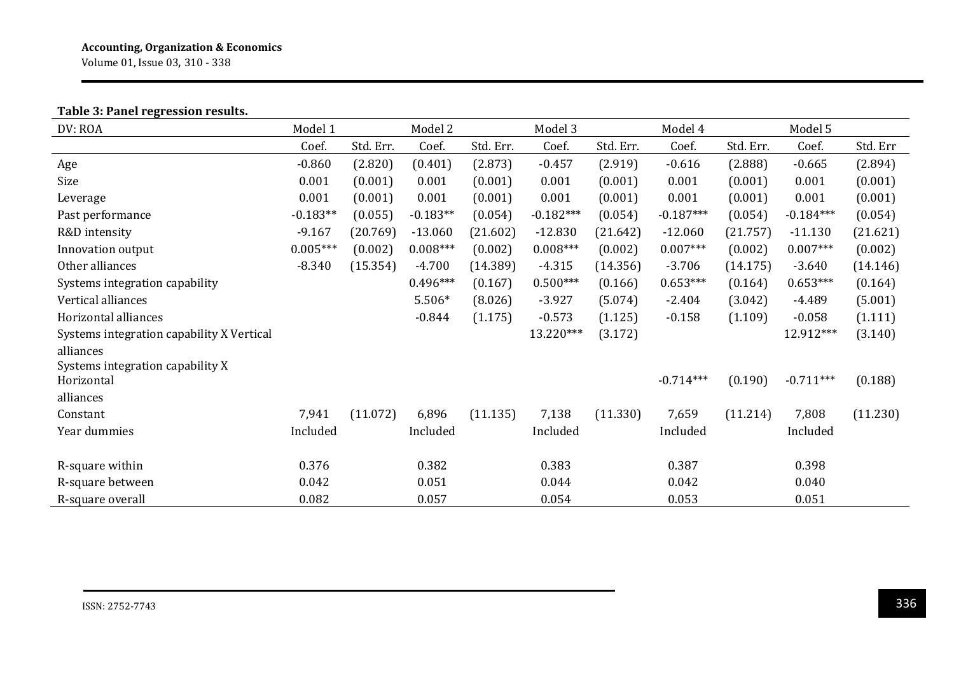Volume 01, Issue 03, 310 - 338

## **Table 3: Panel regression results.**

| DV: ROA                                   | Model 1    |           | Model 2<br>Model 3 |           |             |           | Model 4     |           | Model 5     |          |
|-------------------------------------------|------------|-----------|--------------------|-----------|-------------|-----------|-------------|-----------|-------------|----------|
|                                           | Coef.      | Std. Err. | Coef.              | Std. Err. | Coef.       | Std. Err. | Coef.       | Std. Err. | Coef.       | Std. Err |
| Age                                       | $-0.860$   | (2.820)   | (0.401)            | (2.873)   | $-0.457$    | (2.919)   | $-0.616$    | (2.888)   | $-0.665$    | (2.894)  |
| Size                                      | 0.001      | (0.001)   | 0.001              | (0.001)   | 0.001       | (0.001)   | 0.001       | (0.001)   | 0.001       | (0.001)  |
| Leverage                                  | 0.001      | (0.001)   | 0.001              | (0.001)   | 0.001       | (0.001)   | 0.001       | (0.001)   | 0.001       | (0.001)  |
| Past performance                          | $-0.183**$ | (0.055)   | $-0.183**$         | (0.054)   | $-0.182***$ | (0.054)   | $-0.187***$ | (0.054)   | $-0.184***$ | (0.054)  |
| R&D intensity                             | $-9.167$   | (20.769)  | $-13.060$          | (21.602)  | $-12.830$   | (21.642)  | $-12.060$   | (21.757)  | $-11.130$   | (21.621) |
| Innovation output                         | $0.005***$ | (0.002)   | $0.008***$         | (0.002)   | $0.008***$  | (0.002)   | $0.007***$  | (0.002)   | $0.007***$  | (0.002)  |
| Other alliances                           | $-8.340$   | (15.354)  | $-4.700$           | (14.389)  | $-4.315$    | (14.356)  | $-3.706$    | (14.175)  | $-3.640$    | (14.146) |
| Systems integration capability            |            |           | $0.496***$         | (0.167)   | $0.500***$  | (0.166)   | $0.653***$  | (0.164)   | $0.653***$  | (0.164)  |
| Vertical alliances                        |            |           | 5.506*             | (8.026)   | $-3.927$    | (5.074)   | $-2.404$    | (3.042)   | $-4.489$    | (5.001)  |
| Horizontal alliances                      |            |           | $-0.844$           | (1.175)   | $-0.573$    | (1.125)   | $-0.158$    | (1.109)   | $-0.058$    | (1.111)  |
| Systems integration capability X Vertical |            |           |                    |           | 13.220***   | (3.172)   |             |           | 12.912***   | (3.140)  |
| alliances                                 |            |           |                    |           |             |           |             |           |             |          |
| Systems integration capability X          |            |           |                    |           |             |           |             |           |             |          |
| Horizontal                                |            |           |                    |           |             |           | $-0.714***$ | (0.190)   | $-0.711***$ | (0.188)  |
| alliances                                 |            |           |                    |           |             |           |             |           |             |          |
| Constant                                  | 7,941      | (11.072)  | 6,896              | (11.135)  | 7,138       | (11.330)  | 7,659       | (11.214)  | 7,808       | (11.230) |
| Year dummies                              | Included   |           | Included           |           | Included    |           | Included    |           | Included    |          |
|                                           |            |           |                    |           |             |           |             |           |             |          |
| R-square within                           | 0.376      |           | 0.382              |           | 0.383       |           | 0.387       |           | 0.398       |          |
| R-square between                          | 0.042      |           | 0.051              |           | 0.044       |           | 0.042       |           | 0.040       |          |
| R-square overall                          | 0.082      |           | 0.057              |           | 0.054       |           | 0.053       |           | 0.051       |          |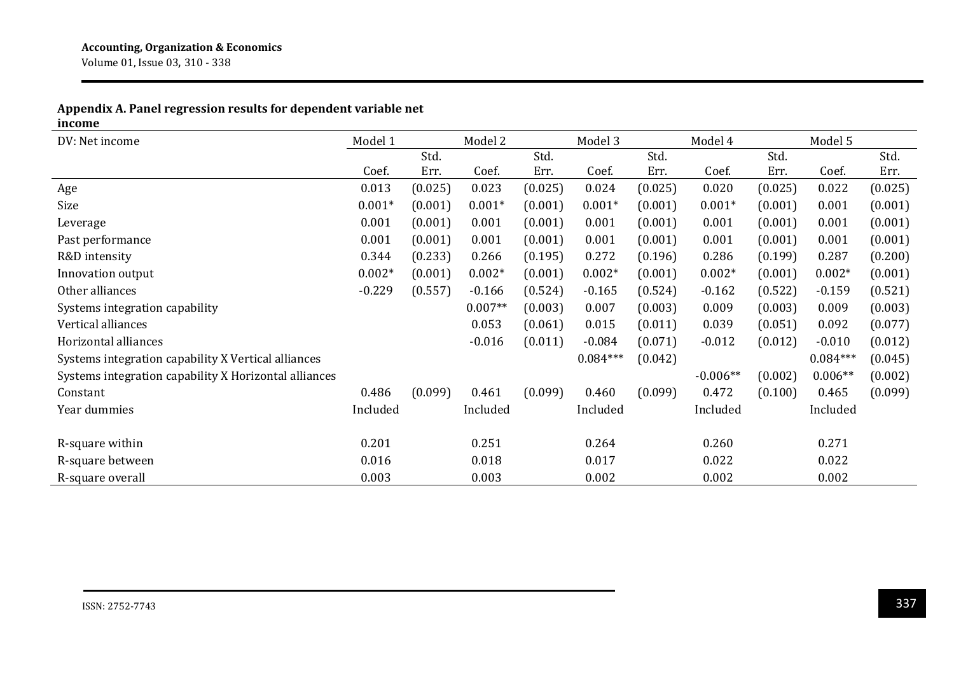## **Appendix A. Panel regression results for dependent variable net**

**income**

| DV: Net income                                        | Model 1  |         | Model 2   |         | Model 3    |         | Model 4    |         | Model 5    |         |
|-------------------------------------------------------|----------|---------|-----------|---------|------------|---------|------------|---------|------------|---------|
|                                                       |          | Std.    |           | Std.    |            | Std.    |            | Std.    |            | Std.    |
|                                                       | Coef.    | Err.    | Coef.     | Err.    | Coef.      | Err.    | Coef.      | Err.    | Coef.      | Err.    |
| Age                                                   | 0.013    | (0.025) | 0.023     | (0.025) | 0.024      | (0.025) | 0.020      | (0.025) | 0.022      | (0.025) |
| Size                                                  | $0.001*$ | (0.001) | $0.001*$  | (0.001) | $0.001*$   | (0.001) | $0.001*$   | (0.001) | 0.001      | (0.001) |
| Leverage                                              | 0.001    | (0.001) | 0.001     | (0.001) | 0.001      | (0.001) | 0.001      | (0.001) | 0.001      | (0.001) |
| Past performance                                      | 0.001    | (0.001) | 0.001     | (0.001) | 0.001      | (0.001) | 0.001      | (0.001) | 0.001      | (0.001) |
| R&D intensity                                         | 0.344    | (0.233) | 0.266     | (0.195) | 0.272      | (0.196) | 0.286      | (0.199) | 0.287      | (0.200) |
| Innovation output                                     | $0.002*$ | (0.001) | $0.002*$  | (0.001) | $0.002*$   | (0.001) | $0.002*$   | (0.001) | $0.002*$   | (0.001) |
| Other alliances                                       | $-0.229$ | (0.557) | $-0.166$  | (0.524) | $-0.165$   | (0.524) | $-0.162$   | (0.522) | $-0.159$   | (0.521) |
| Systems integration capability                        |          |         | $0.007**$ | (0.003) | 0.007      | (0.003) | 0.009      | (0.003) | 0.009      | (0.003) |
| Vertical alliances                                    |          |         | 0.053     | (0.061) | 0.015      | (0.011) | 0.039      | (0.051) | 0.092      | (0.077) |
| Horizontal alliances                                  |          |         | $-0.016$  | (0.011) | $-0.084$   | (0.071) | $-0.012$   | (0.012) | $-0.010$   | (0.012) |
| Systems integration capability X Vertical alliances   |          |         |           |         | $0.084***$ | (0.042) |            |         | $0.084***$ | (0.045) |
| Systems integration capability X Horizontal alliances |          |         |           |         |            |         | $-0.006**$ | (0.002) | $0.006**$  | (0.002) |
| Constant                                              | 0.486    | (0.099) | 0.461     | (0.099) | 0.460      | (0.099) | 0.472      | (0.100) | 0.465      | (0.099) |
| Year dummies                                          | Included |         | Included  |         | Included   |         | Included   |         | Included   |         |
|                                                       |          |         |           |         |            |         |            |         |            |         |
| R-square within                                       | 0.201    |         | 0.251     |         | 0.264      |         | 0.260      |         | 0.271      |         |
| R-square between                                      | 0.016    |         | 0.018     |         | 0.017      |         | 0.022      |         | 0.022      |         |
| R-square overall                                      | 0.003    |         | 0.003     |         | 0.002      |         | 0.002      |         | 0.002      |         |